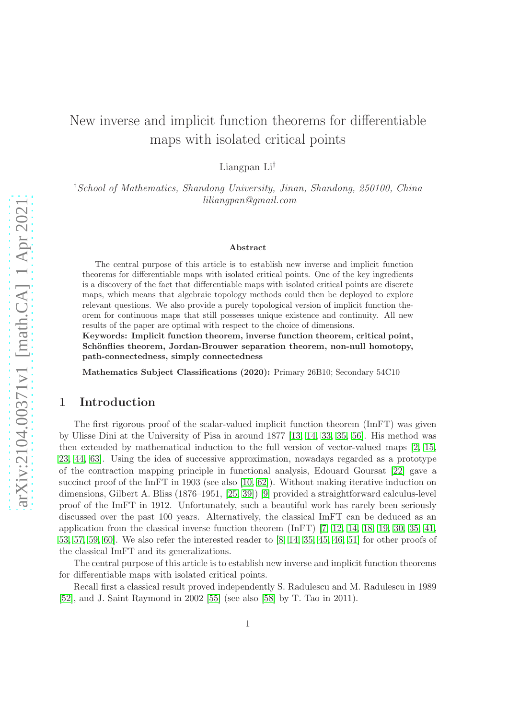# New inverse and implicit function theorems for differentiable maps with isolated critical points

Liangpan Li†

†School of Mathematics, Shandong University, Jinan, Shandong, 250100, China liliangpan@gmail.com

#### Abstract

The central purpose of this article is to establish new inverse and implicit function theorems for differentiable maps with isolated critical points. One of the key ingredients is a discovery of the fact that differentiable maps with isolated critical points are discrete maps, which means that algebraic topology methods could then be deployed to explore relevant questions. We also provide a purely topological version of implicit function theorem for continuous maps that still possesses unique existence and continuity. All new results of the paper are optimal with respect to the choice of dimensions.

Keywords: Implicit function theorem, inverse function theorem, critical point, Schönflies theorem, Jordan-Brouwer separation theorem, non-null homotopy, path-connectedness, simply connectedness

Mathematics Subject Classifications (2020): Primary 26B10; Secondary 54C10

### 1 Introduction

The first rigorous proof of the scalar-valued implicit function theorem (ImFT) was given by Ulisse Dini at the University of Pisa in around 1877 [\[13,](#page-21-0) [14,](#page-21-1) [33,](#page-22-0) [35,](#page-22-1) [56\]](#page-23-0). His method was then extended by mathematical induction to the full version of vector-valued maps [\[2,](#page-20-0) [15,](#page-21-2) [23,](#page-21-3) [44,](#page-22-2) [63\]](#page-23-1). Using the idea of successive approximation, nowadays regarded as a prototype of the contraction mapping principle in functional analysis, Edouard Goursat [\[22\]](#page-21-4) gave a succinct proof of the ImFT in 1903 (see also [\[10,](#page-21-5) [62\]](#page-23-2)). Without making iterative induction on dimensions, Gilbert A. Bliss (1876–1951, [\[25,](#page-21-6) [39\]](#page-22-3)) [\[9\]](#page-20-1) provided a straightforward calculus-level proof of the ImFT in 1912. Unfortunately, such a beautiful work has rarely been seriously discussed over the past 100 years. Alternatively, the classical ImFT can be deduced as an application from the classical inverse function theorem (InFT) [\[7,](#page-20-2) [12,](#page-21-7) [14,](#page-21-1) [18,](#page-21-8) [19,](#page-21-9) [30,](#page-22-4) [35,](#page-22-1) [41,](#page-22-5) [53,](#page-23-3) [57,](#page-23-4) [59,](#page-23-5) [60\]](#page-23-6). We also refer the interested reader to [\[8,](#page-20-3) [14,](#page-21-1) [35,](#page-22-1) [45,](#page-22-6) [46,](#page-22-7) [51\]](#page-23-7) for other proofs of the classical ImFT and its generalizations.

The central purpose of this article is to establish new inverse and implicit function theorems for differentiable maps with isolated critical points.

Recall first a classical result proved independently S. Radulescu and M. Radulescu in 1989 [\[52\]](#page-23-8), and J. Saint Raymond in 2002 [\[55\]](#page-23-9) (see also [\[58\]](#page-23-10) by T. Tao in 2011).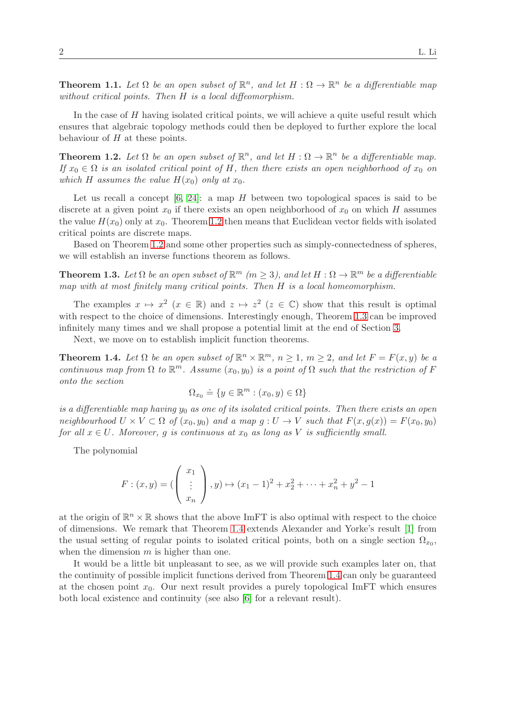<span id="page-1-3"></span>**Theorem 1.1.** Let  $\Omega$  be an open subset of  $\mathbb{R}^n$ , and let  $H : \Omega \to \mathbb{R}^n$  be a differentiable map without critical points. Then H is a local diffeomorphism.

In the case of H having isolated critical points, we will achieve a quite useful result which ensures that algebraic topology methods could then be deployed to further explore the local behaviour of  $H$  at these points.

<span id="page-1-0"></span>**Theorem 1.2.** Let  $\Omega$  be an open subset of  $\mathbb{R}^n$ , and let  $H : \Omega \to \mathbb{R}^n$  be a differentiable map. If  $x_0 \in \Omega$  is an isolated critical point of H, then there exists an open neighborhood of  $x_0$  on which H assumes the value  $H(x_0)$  only at  $x_0$ .

Let us recall a concept  $[6, 24]$  $[6, 24]$ : a map H between two topological spaces is said to be discrete at a given point  $x_0$  if there exists an open neighborhood of  $x_0$  on which H assumes the value  $H(x_0)$  only at  $x_0$ . Theorem [1.2](#page-1-0) then means that Euclidean vector fields with isolated critical points are discrete maps.

Based on Theorem [1.2](#page-1-0) and some other properties such as simply-connectedness of spheres, we will establish an inverse functions theorem as follows.

<span id="page-1-1"></span>**Theorem 1.3.** Let  $\Omega$  be an open subset of  $\mathbb{R}^m$  ( $m \geq 3$ ), and let  $H : \Omega \to \mathbb{R}^m$  be a differentiable map with at most finitely many critical points. Then H is a local homeomorphism.

The examples  $x \mapsto x^2$   $(x \in \mathbb{R})$  and  $z \mapsto z^2$   $(z \in \mathbb{C})$  show that this result is optimal with respect to the choice of dimensions. Interestingly enough, Theorem [1.3](#page-1-1) can be improved infinitely many times and we shall propose a potential limit at the end of Section [3.](#page-6-0)

Next, we move on to establish implicit function theorems.

<span id="page-1-2"></span>**Theorem 1.4.** Let  $\Omega$  be an open subset of  $\mathbb{R}^n \times \mathbb{R}^m$ ,  $n \geq 1$ ,  $m \geq 2$ , and let  $F = F(x, y)$  be a continuous map from  $\Omega$  to  $\mathbb{R}^m$ . Assume  $(x_0, y_0)$  is a point of  $\Omega$  such that the restriction of F onto the section

$$
\Omega_{x_0} \doteq \{ y \in \mathbb{R}^m : (x_0, y) \in \Omega \}
$$

is a differentiable map having  $y_0$  as one of its isolated critical points. Then there exists an open neighbourhood  $U \times V \subset \Omega$  of  $(x_0, y_0)$  and a map  $g: U \to V$  such that  $F(x, g(x)) = F(x_0, y_0)$ for all  $x \in U$ . Moreover, g is continuous at  $x_0$  as long as V is sufficiently small.

The polynomial

$$
F: (x, y) = \begin{pmatrix} x_1 \\ \vdots \\ x_n \end{pmatrix}, y) \mapsto (x_1 - 1)^2 + x_2^2 + \dots + x_n^2 + y^2 - 1
$$

at the origin of  $\mathbb{R}^n \times \mathbb{R}$  shows that the above ImFT is also optimal with respect to the choice of dimensions. We remark that Theorem [1.4](#page-1-2) extends Alexander and Yorke's result [\[1\]](#page-20-5) from the usual setting of regular points to isolated critical points, both on a single section  $\Omega_{x_0}$ , when the dimension  $m$  is higher than one.

It would be a little bit unpleasant to see, as we will provide such examples later on, that the continuity of possible implicit functions derived from Theorem [1.4](#page-1-2) can only be guaranteed at the chosen point  $x_0$ . Our next result provides a purely topological ImFT which ensures both local existence and continuity (see also [\[6\]](#page-20-4) for a relevant result).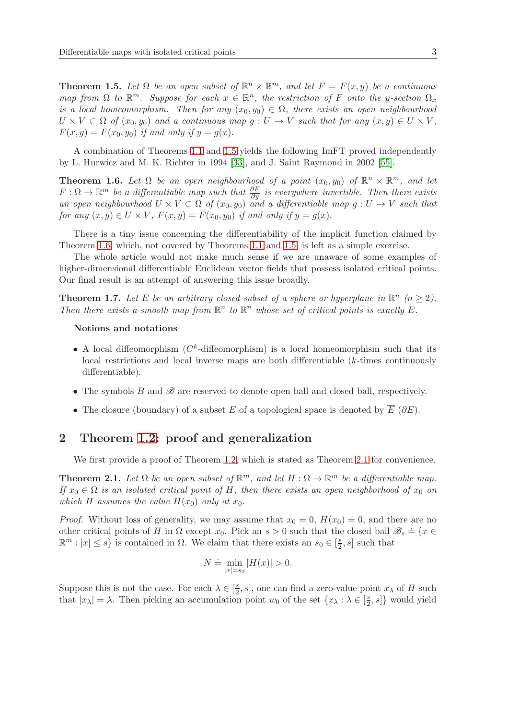<span id="page-2-0"></span>**Theorem 1.5.** Let  $\Omega$  be an open subset of  $\mathbb{R}^n \times \mathbb{R}^m$ , and let  $F = F(x, y)$  be a continuous map from  $\Omega$  to  $\mathbb{R}^m$ . Suppose for each  $x \in \mathbb{R}^n$ , the restriction of F onto the y-section  $\Omega_x$ is a local homeomorphism. Then for any  $(x_0, y_0) \in \Omega$ , there exists an open neighbourhood  $U \times V \subset \Omega$  of  $(x_0, y_0)$  and a continuous map  $g: U \to V$  such that for any  $(x, y) \in U \times V$ ,  $F(x, y) = F(x_0, y_0)$  if and only if  $y = g(x)$ .

A combination of Theorems [1.1](#page-1-3) and [1.5](#page-2-0) yields the following ImFT proved independently by L. Hurwicz and M. K. Richter in 1994 [\[33\]](#page-22-0), and J. Saint Raymond in 2002 [\[55\]](#page-23-9).

<span id="page-2-1"></span>**Theorem 1.6.** Let  $\Omega$  be an open neighbourhood of a point  $(x_0, y_0)$  of  $\mathbb{R}^n \times \mathbb{R}^m$ , and let  $F: \Omega \to \mathbb{R}^m$  be a differentiable map such that  $\frac{\partial F}{\partial y}$  is everywhere invertible. Then there exists an open neighbourhood  $U \times V \subset \Omega$  of  $(x_0, y_0)$  and a differentiable map  $g: U \to V$  such that for any  $(x, y) \in U \times V$ ,  $F(x, y) = F(x_0, y_0)$  if and only if  $y = g(x)$ .

There is a tiny issue concerning the differentiability of the implicit function claimed by Theorem [1.6,](#page-2-1) which, not covered by Theorems [1.1](#page-1-3) and [1.5,](#page-2-0) is left as a simple exercise.

The whole article would not make much sense if we are unaware of some examples of higher-dimensional differentiable Euclidean vector fields that possess isolated critical points. Our final result is an attempt of answering this issue broadly.

<span id="page-2-3"></span>**Theorem 1.7.** Let E be an arbitrary closed subset of a sphere or hyperplane in  $\mathbb{R}^n$  ( $n \geq 2$ ). Then there exists a smooth map from  $\mathbb{R}^n$  to  $\mathbb{R}^n$  whose set of critical points is exactly E.

#### Notions and notations

- A local diffeomorphism  $(C<sup>k</sup>$ -diffeomorphism) is a local homeomorphism such that its local restrictions and local inverse maps are both differentiable (k-times continuously differentiable).
- The symbols  $B$  and  $\mathscr B$  are reserved to denote open ball and closed ball, respectively.
- The closure (boundary) of a subset E of a topological space is denoted by  $\overline{E}$  ( $\partial E$ ).

## 2 Theorem [1.2:](#page-1-0) proof and generalization

We first provide a proof of Theorem [1.2,](#page-1-0) which is stated as Theorem [2.1](#page-2-2) for convenience.

<span id="page-2-2"></span>**Theorem 2.1.** Let  $\Omega$  be an open subset of  $\mathbb{R}^m$ , and let  $H : \Omega \to \mathbb{R}^m$  be a differentiable map. If  $x_0 \in \Omega$  is an isolated critical point of H, then there exists an open neighborhood of  $x_0$  on which H assumes the value  $H(x_0)$  only at  $x_0$ .

*Proof.* Without loss of generality, we may assume that  $x_0 = 0$ ,  $H(x_0) = 0$ , and there are no other critical points of H in  $\Omega$  except  $x_0$ . Pick an  $s > 0$  such that the closed ball  $\mathscr{B}_s \doteq \{x \in$  $\mathbb{R}^m : |x| \leq s$  is contained in  $\Omega$ . We claim that there exists an  $s_0 \in \left[\frac{s}{2}\right]$  $\frac{s}{2}, s$  such that

$$
N \doteq \min_{|x|=s_0} |H(x)| > 0.
$$

Suppose this is not the case. For each  $\lambda \in [\frac{s}{2}]$  $\frac{s}{2}$ , s, one can find a zero-value point  $x_{\lambda}$  of H such that  $|x_\lambda| = \lambda$ . Then picking an accumulation point  $w_0$  of the set  $\{x_\lambda : \lambda \in \left[\frac{8}{2}\right]$  $\left[\frac{s}{2}, s\right]$  would yield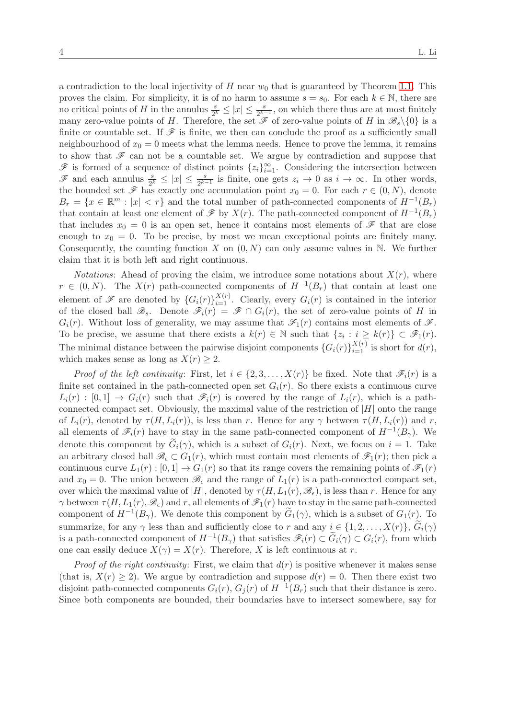a contradiction to the local injectivity of  $H$  near  $w_0$  that is guaranteed by Theorem [1.1.](#page-1-3) This proves the claim. For simplicity, it is of no harm to assume  $s = s_0$ . For each  $k \in \mathbb{N}$ , there are no critical points of H in the annulus  $\frac{s}{2^k} \leq |x| \leq \frac{s}{2^{k-1}}$ , on which there thus are at most finitely many zero-value points of H. Therefore, the set  $\mathscr F$  of zero-value points of H in  $\mathscr B_s\backslash\{0\}$  is a finite or countable set. If  $\mathscr F$  is finite, we then can conclude the proof as a sufficiently small neighbourhood of  $x_0 = 0$  meets what the lemma needs. Hence to prove the lemma, it remains to show that  $\mathscr F$  can not be a countable set. We argue by contradiction and suppose that  $\mathscr F$  is formed of a sequence of distinct points  $\{z_i\}_{i=1}^\infty$ . Considering the intersection between  $\mathcal{F}$  and each annulus  $\frac{s}{2^k}$  ≤  $|x|$  ≤  $\frac{s}{2^{k-1}}$  is finite, one gets  $z_i \to 0$  as  $i \to \infty$ . In other words, the bounded set  $\mathscr F$  has exactly one accumulation point  $x_0 = 0$ . For each  $r \in (0, N)$ , denote  $B_r = \{x \in \mathbb{R}^m : |x| < r\}$  and the total number of path-connected components of  $H^{-1}(B_r)$ that contain at least one element of  $\mathscr F$  by  $X(r)$ . The path-connected component of  $H^{-1}(B_r)$ that includes  $x_0 = 0$  is an open set, hence it contains most elements of  $\mathscr F$  that are close enough to  $x_0 = 0$ . To be precise, by most we mean exceptional points are finitely many. Consequently, the counting function X on  $(0, N)$  can only assume values in N. We further claim that it is both left and right continuous.

*Notations:* Ahead of proving the claim, we introduce some notations about  $X(r)$ , where  $r \in (0, N)$ . The  $X(r)$  path-connected components of  $H^{-1}(B_r)$  that contain at least one element of  $\mathscr F$  are denoted by  $\{G_i(r)\}_{i=1}^{X(r)}$ . Clearly, every  $G_i(r)$  is contained in the interior of the closed ball  $\mathscr{B}_s$ . Denote  $\mathscr{F}_i(r) = \mathscr{F} \cap G_i(r)$ , the set of zero-value points of H in  $G_i(r)$ . Without loss of generality, we may assume that  $\mathscr{F}_1(r)$  contains most elements of  $\mathscr{F}$ . To be precise, we assume that there exists a  $k(r) \in \mathbb{N}$  such that  $\{z_i : i \geq k(r)\} \subset \mathscr{F}_1(r)$ . The minimal distance between the pairwise disjoint components  $\{G_i(r)\}_{i=1}^{X(r)}$  is short for  $d(r)$ , which makes sense as long as  $X(r) \geq 2$ .

*Proof of the left continuity:* First, let  $i \in \{2, 3, ..., X(r)\}\$ be fixed. Note that  $\mathscr{F}_i(r)$  is a finite set contained in the path-connected open set  $G_i(r)$ . So there exists a continuous curve  $L_i(r) : [0,1] \to G_i(r)$  such that  $\mathscr{F}_i(r)$  is covered by the range of  $L_i(r)$ , which is a pathconnected compact set. Obviously, the maximal value of the restriction of  $|H|$  onto the range of  $L_i(r)$ , denoted by  $\tau(H, L_i(r))$ , is less than r. Hence for any  $\gamma$  between  $\tau(H, L_i(r))$  and r, all elements of  $\mathscr{F}_i(r)$  have to stay in the same path-connected component of  $H^{-1}(B_\gamma)$ . We denote this component by  $\tilde{G}_i(\gamma)$ , which is a subset of  $G_i(r)$ . Next, we focus on  $i = 1$ . Take an arbitrary closed ball  $\mathscr{B}_{\epsilon} \subset G_1(r)$ , which must contain most elements of  $\mathscr{F}_1(r)$ ; then pick a continuous curve  $L_1(r): [0,1] \to G_1(r)$  so that its range covers the remaining points of  $\mathscr{F}_1(r)$ and  $x_0 = 0$ . The union between  $\mathscr{B}_{\epsilon}$  and the range of  $L_1(r)$  is a path-connected compact set, over which the maximal value of |H|, denoted by  $\tau(H, L_1(r), \mathscr{B}_{\epsilon})$ , is less than r. Hence for any  $\gamma$  between  $\tau(H, L_1(r), \mathscr{B}_\epsilon)$  and r, all elements of  $\mathscr{F}_1(r)$  have to stay in the same path-connected component of  $H^{-1}(B_\gamma)$ . We denote this component by  $\tilde{G}_1(\gamma)$ , which is a subset of  $G_1(r)$ . To summarize, for any  $\gamma$  less than and sufficiently close to r and any  $i \in \{1, 2, ..., X(r)\},\,\tilde{G}_i(\gamma)$ is a path-connected component of  $H^{-1}(B_\gamma)$  that satisfies  $\mathscr{F}_i(r) \subset \widetilde{G}_i(\gamma) \subset G_i(r)$ , from which one can easily deduce  $X(\gamma) = X(r)$ . Therefore, X is left continuous at r.

*Proof of the right continuity:* First, we claim that  $d(r)$  is positive whenever it makes sense (that is,  $X(r) \ge 2$ ). We argue by contradiction and suppose  $d(r) = 0$ . Then there exist two disjoint path-connected components  $G_i(r)$ ,  $G_j(r)$  of  $H^{-1}(B_r)$  such that their distance is zero. Since both components are bounded, their boundaries have to intersect somewhere, say for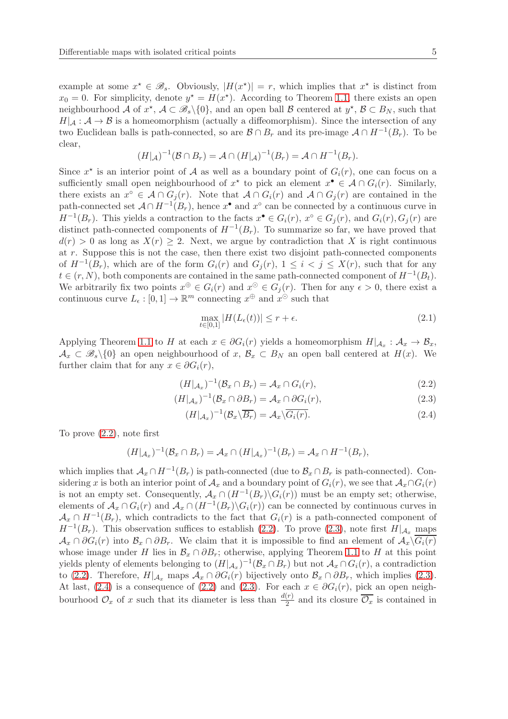example at some  $x^* \in \mathcal{B}_s$ . Obviously,  $|H(x^*)| = r$ , which implies that  $x^*$  is distinct from  $x_0 = 0$ . For simplicity, denote  $y^* = H(x^*)$ . According to Theorem [1.1,](#page-1-3) there exists an open neighbourhood  $\mathcal A$  of  $x^*$ ,  $\mathcal A \subset \mathscr B_s\backslash\{0\}$ , and an open ball  $\mathcal B$  centered at  $y^*$ ,  $\mathcal B \subset B_N$ , such that  $H|_{\mathcal{A}} : \mathcal{A} \to \mathcal{B}$  is a homeomorphism (actually a diffeomorphism). Since the intersection of any two Euclidean balls is path-connected, so are  $\mathcal{B} \cap B_r$  and its pre-image  $\mathcal{A} \cap H^{-1}(B_r)$ . To be clear,

$$
(H|_{\mathcal{A}})^{-1}(\mathcal{B}\cap B_r)=\mathcal{A}\cap (H|_{\mathcal{A}})^{-1}(B_r)=\mathcal{A}\cap H^{-1}(B_r).
$$

Since  $x^*$  is an interior point of A as well as a boundary point of  $G_i(r)$ , one can focus on a sufficiently small open neighbourhood of  $x^*$  to pick an element  $x^* \in A \cap G_i(r)$ . Similarly, there exists an  $x^{\circ} \in A \cap G_i(r)$ . Note that  $A \cap G_i(r)$  and  $A \cap G_j(r)$  are contained in the path-connected set  $A \cap H^{-1}(B_r)$ , hence  $x^{\bullet}$  and  $x^{\circ}$  can be connected by a continuous curve in  $H^{-1}(B_r)$ . This yields a contraction to the facts  $x^{\bullet} \in G_i(r)$ ,  $x^{\circ} \in G_j(r)$ , and  $G_i(r)$ ,  $G_j(r)$  are distinct path-connected components of  $H^{-1}(B_r)$ . To summarize so far, we have proved that  $d(r) > 0$  as long as  $X(r) \geq 2$ . Next, we argue by contradiction that X is right continuous at r. Suppose this is not the case, then there exist two disjoint path-connected components of  $H^{-1}(B_r)$ , which are of the form  $G_i(r)$  and  $G_j(r)$ ,  $1 \leq i \leq j \leq X(r)$ , such that for any  $t \in (r, N)$ , both components are contained in the same path-connected component of  $H^{-1}(B_t)$ . We arbitrarily fix two points  $x^{\oplus} \in G_i(r)$  and  $x^{\odot} \in G_j(r)$ . Then for any  $\epsilon > 0$ , there exist a continuous curve  $L_{\epsilon} : [0,1] \to \mathbb{R}^m$  connecting  $x^{\oplus}$  and  $x^{\odot}$  such that

<span id="page-4-3"></span><span id="page-4-1"></span><span id="page-4-0"></span>
$$
\max_{t \in [0,1]} |H(L_{\epsilon}(t))| \le r + \epsilon. \tag{2.1}
$$

Applying Theorem [1.1](#page-1-3) to H at each  $x \in \partial G_i(r)$  yields a homeomorphism  $H|_{\mathcal{A}_x} : \mathcal{A}_x \to \mathcal{B}_x$ ,  $\mathcal{A}_x \subset \mathscr{B}_s \setminus \{0\}$  an open neighbourhood of  $x, \mathcal{B}_x \subset B_N$  an open ball centered at  $H(x)$ . We further claim that for any  $x \in \partial G_i(r)$ ,

$$
(H|_{\mathcal{A}_x})^{-1}(\mathcal{B}_x \cap B_r) = \mathcal{A}_x \cap G_i(r), \qquad (2.2)
$$

$$
(H|_{\mathcal{A}_x})^{-1}(\mathcal{B}_x \cap \partial B_r) = \mathcal{A}_x \cap \partial G_i(r), \qquad (2.3)
$$

<span id="page-4-2"></span>
$$
(H|_{\mathcal{A}_x})^{-1}(\mathcal{B}_x \backslash \overline{B_r}) = \mathcal{A}_x \backslash \overline{G_i(r)}.
$$
\n(2.4)

To prove [\(2.2\)](#page-4-0), note first

$$
(H|_{\mathcal{A}_x})^{-1}(\mathcal{B}_x \cap B_r) = \mathcal{A}_x \cap (H|_{\mathcal{A}_x})^{-1}(B_r) = \mathcal{A}_x \cap H^{-1}(B_r),
$$

which implies that  $\mathcal{A}_x \cap H^{-1}(B_r)$  is path-connected (due to  $\mathcal{B}_x \cap B_r$  is path-connected). Considering x is both an interior point of  $\mathcal{A}_x$  and a boundary point of  $G_i(r)$ , we see that  $\mathcal{A}_x \cap G_i(r)$ is not an empty set. Consequently,  $\mathcal{A}_x \cap (H^{-1}(B_r) \backslash G_i(r))$  must be an empty set; otherwise, elements of  $\mathcal{A}_x \cap G_i(r)$  and  $\mathcal{A}_x \cap (H^{-1}(B_r) \setminus G_i(r))$  can be connected by continuous curves in  $\mathcal{A}_x \cap H^{-1}(B_r)$ , which contradicts to the fact that  $G_i(r)$  is a path-connected component of  $H^{-1}(B_r)$ . This observation suffices to establish [\(2.2\)](#page-4-0). To prove [\(2.3\)](#page-4-1), note first  $H|_{\mathcal{A}_x}$  maps  $\mathcal{A}_x \cap \partial G_i(r)$  into  $\mathcal{B}_x \cap \partial B_r$ . We claim that it is impossible to find an element of  $\mathcal{A}_x \backslash \overline{G_i(r)}$ whose image under H lies in  $\mathcal{B}_x \cap \partial B_r$ ; otherwise, applying Theorem [1.1](#page-1-3) to H at this point yields plenty of elements belonging to  $(H|_{\mathcal{A}_x})^{-1}(\mathcal{B}_x \cap B_r)$  but not  $\mathcal{A}_x \cap G_i(r)$ , a contradiction to [\(2.2\)](#page-4-0). Therefore,  $H|_{\mathcal{A}_x}$  maps  $\mathcal{A}_x \cap \partial G_i(r)$  bijectively onto  $\mathcal{B}_x \cap \partial B_r$ , which implies [\(2.3\)](#page-4-1). At last, [\(2.4\)](#page-4-2) is a consequence of [\(2.2\)](#page-4-0) and [\(2.3\)](#page-4-1). For each  $x \in \partial G_i(r)$ , pick an open neighbourhood  $\mathcal{O}_x$  of x such that its diameter is less than  $\frac{d(r)}{2}$  and its closure  $\overline{\mathcal{O}_x}$  is contained in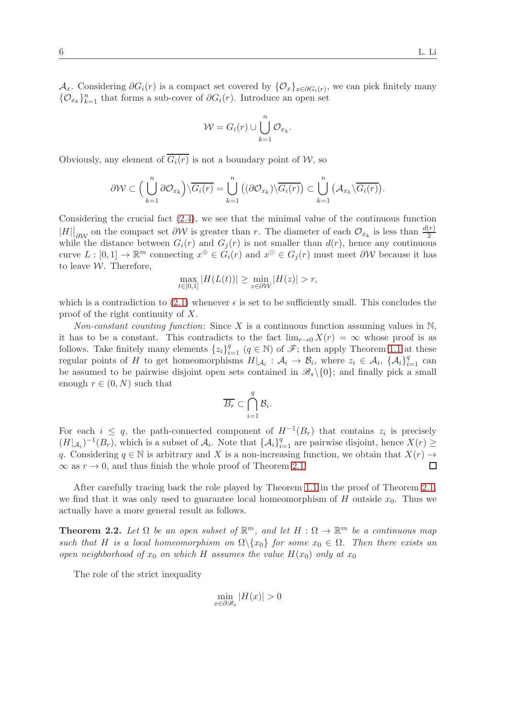$\mathcal{A}_x$ . Considering  $\partial G_i(r)$  is a compact set covered by  $\{\mathcal{O}_x\}_{x\in\partial G_i(r)}$ , we can pick finitely many { $\mathcal{O}_{x_k}$ }<sub>*k*=1</sub> that forms a sub-cover of  $\partial G_i(r)$ . Introduce an open set

$$
\mathcal{W} = G_i(r) \cup \bigcup_{k=1}^n \mathcal{O}_{x_k}.
$$

Obviously, any element of  $\overline{G_i(r)}$  is not a boundary point of W, so

$$
\partial \mathcal{W} \subset \Big(\bigcup_{k=1}^n \partial \mathcal{O}_{x_k}\Big) \setminus \overline{G_i(r)} = \bigcup_{k=1}^n \big((\partial \mathcal{O}_{x_k}) \setminus \overline{G_i(r)}\big) \subset \bigcup_{k=1}^n \big(\mathcal{A}_{x_k} \setminus \overline{G_i(r)}\big).
$$

Considering the crucial fact  $(2.4)$ , we see that the minimal value of the continuous function  $|H|\big|_{\partial\mathcal{W}}$  on the compact set  $\partial\mathcal{W}$  is greater than r. The diameter of each  $\mathcal{O}_{x_k}$  is less than  $\frac{d(r)}{2}$ while the distance between  $G_i(r)$  and  $G_j(r)$  is not smaller than  $d(r)$ , hence any continuous curve  $L : [0,1] \to \mathbb{R}^m$  connecting  $x^{\oplus} \in \tilde{G}_i(r)$  and  $x^{\odot} \in G_j(r)$  must meet  $\partial \mathcal{W}$  because it has to leave  $W$ . Therefore,

$$
\max_{t \in [0,1]} |H(L(t))| \ge \min_{z \in \partial \mathcal{W}} |H(z)| > r,
$$

which is a contradiction to [\(2.1\)](#page-4-3) whenever  $\epsilon$  is set to be sufficiently small. This concludes the proof of the right continuity of X.

Non-constant counting function: Since X is a continuous function assuming values in  $\mathbb{N}$ , it has to be a constant. This contradicts to the fact  $\lim_{r\to 0} X(r) = \infty$  whose proof is as follows. Take finitely many elements  $\{z_i\}_{i=1}^q$   $(q \in \mathbb{N})$  of  $\mathscr{F}$ ; then apply Theorem [1.1](#page-1-3) at these regular points of H to get homeomorphisms  $H|_{\mathcal{A}_i}: \mathcal{A}_i \to \mathcal{B}_i$ , where  $z_i \in \mathcal{A}_i$ ,  $\{\mathcal{A}_i\}_{i=1}^q$  can be assumed to be pairwise disjoint open sets contained in  $\mathscr{B}_{s}\setminus\{0\}$ ; and finally pick a small enough  $r \in (0, N)$  such that

$$
\overline{B_r}\subset \bigcap_{i=1}^q\mathcal{B}_i.
$$

For each  $i \leq q$ , the path-connected component of  $H^{-1}(B_r)$  that contains  $z_i$  is precisely  $(H|_{\mathcal{A}_i})^{-1}(B_r)$ , which is a subset of  $\mathcal{A}_i$ . Note that  $\{\mathcal{A}_i\}_{i=1}^q$  are pairwise disjoint, hence  $X(r) \geq$ q. Considering  $q \in \mathbb{N}$  is arbitrary and X is a non-increasing function, we obtain that  $X(r) \to \infty$  as  $r \to 0$ , and thus finish the whole proof of Theorem 2.1.  $\infty$  as  $r \to 0$ , and thus finish the whole proof of Theorem [2.1.](#page-2-2)

After carefully tracing back the role played by Theorem [1.1](#page-1-3) in the proof of Theorem [2.1,](#page-2-2) we find that it was only used to guarantee local homeomorphism of H outside  $x_0$ . Thus we actually have a more general result as follows.

<span id="page-5-0"></span>**Theorem 2.2.** Let  $\Omega$  be an open subset of  $\mathbb{R}^m$ , and let  $H : \Omega \to \mathbb{R}^m$  be a continuous map such that H is a local homeomorphism on  $\Omega \setminus \{x_0\}$  for some  $x_0 \in \Omega$ . Then there exists an open neighborhood of  $x_0$  on which H assumes the value  $H(x_0)$  only at  $x_0$ 

The role of the strict inequality

$$
\min_{x \in \partial \mathcal{B}_s} |H(x)| > 0
$$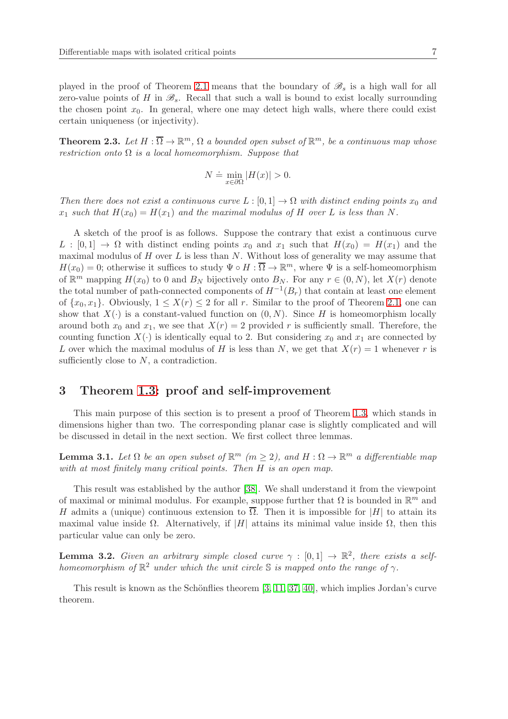played in the proof of Theorem [2.1](#page-2-2) means that the boundary of  $\mathscr{B}_s$  is a high wall for all zero-value points of H in  $\mathscr{B}_s$ . Recall that such a wall is bound to exist locally surrounding the chosen point  $x_0$ . In general, where one may detect high walls, where there could exist certain uniqueness (or injectivity).

<span id="page-6-3"></span>**Theorem 2.3.** Let  $H : \overline{\Omega} \to \mathbb{R}^m$ ,  $\Omega$  a bounded open subset of  $\mathbb{R}^m$ , be a continuous map whose restriction onto  $\Omega$  is a local homeomorphism. Suppose that

$$
N \doteq \min_{x \in \partial \Omega} |H(x)| > 0.
$$

Then there does not exist a continuous curve  $L : [0,1] \to \Omega$  with distinct ending points  $x_0$  and  $x_1$  such that  $H(x_0) = H(x_1)$  and the maximal modulus of H over L is less than N.

A sketch of the proof is as follows. Suppose the contrary that exist a continuous curve  $L : [0,1] \to \Omega$  with distinct ending points  $x_0$  and  $x_1$  such that  $H(x_0) = H(x_1)$  and the maximal modulus of  $H$  over  $L$  is less than  $N$ . Without loss of generality we may assume that  $H(x_0) = 0$ ; otherwise it suffices to study  $\Psi \circ H : \overline{\Omega} \to \mathbb{R}^m$ , where  $\Psi$  is a self-homeomorphism of  $\mathbb{R}^m$  mapping  $H(x_0)$  to 0 and  $B_N$  bijectively onto  $B_N$ . For any  $r \in (0, N)$ , let  $X(r)$  denote the total number of path-connected components of  $H^{-1}(B_r)$  that contain at least one element of  $\{x_0, x_1\}$ . Obviously,  $1 \leq X(r) \leq 2$  for all r. Similar to the proof of Theorem [2.1,](#page-2-2) one can show that  $X(\cdot)$  is a constant-valued function on  $(0, N)$ . Since H is homeomorphism locally around both  $x_0$  and  $x_1$ , we see that  $X(r) = 2$  provided r is sufficiently small. Therefore, the counting function  $X(\cdot)$  is identically equal to 2. But considering  $x_0$  and  $x_1$  are connected by L over which the maximal modulus of H is less than N, we get that  $X(r) = 1$  whenever r is sufficiently close to  $N$ , a contradiction.

#### <span id="page-6-0"></span>3 Theorem [1.3:](#page-1-1) proof and self-improvement

This main purpose of this section is to present a proof of Theorem [1.3,](#page-1-1) which stands in dimensions higher than two. The corresponding planar case is slightly complicated and will be discussed in detail in the next section. We first collect three lemmas.

<span id="page-6-1"></span>**Lemma 3.1.** Let  $\Omega$  be an open subset of  $\mathbb{R}^m$  ( $m \geq 2$ ), and  $H : \Omega \to \mathbb{R}^m$  a differentiable map with at most finitely many critical points. Then H is an open map.

This result was established by the author [\[38\]](#page-22-8). We shall understand it from the viewpoint of maximal or minimal modulus. For example, suppose further that  $\Omega$  is bounded in  $\mathbb{R}^m$  and H admits a (unique) continuous extension to  $\overline{\Omega}$ . Then it is impossible for |H| to attain its maximal value inside  $\Omega$ . Alternatively, if |H| attains its minimal value inside  $\Omega$ , then this particular value can only be zero.

<span id="page-6-2"></span>**Lemma 3.2.** Given an arbitrary simple closed curve  $\gamma : [0,1] \to \mathbb{R}^2$ , there exists a selfhomeomorphism of  $\mathbb{R}^2$  under which the unit circle S is mapped onto the range of  $\gamma$ .

This result is known as the Schönflies theorem  $[3, 11, 37, 40]$  $[3, 11, 37, 40]$  $[3, 11, 37, 40]$  $[3, 11, 37, 40]$ , which implies Jordan's curve theorem.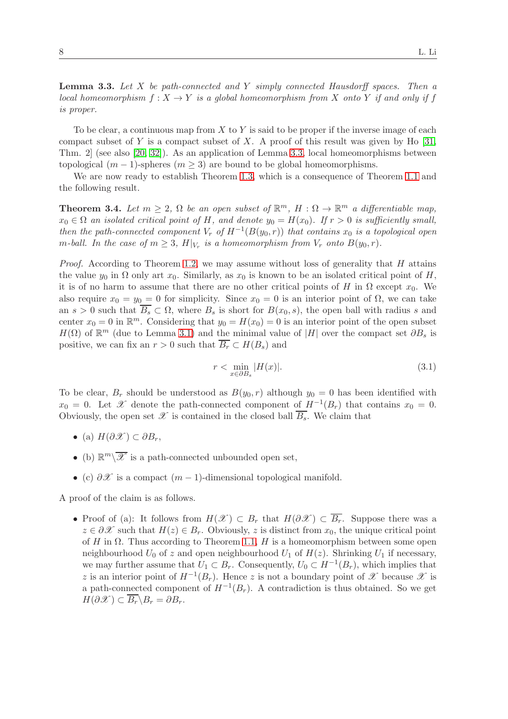<span id="page-7-0"></span>**Lemma 3.3.** Let  $X$  be path-connected and  $Y$  simply connected Hausdorff spaces. Then a local homeomorphism  $f: X \to Y$  is a global homeomorphism from X onto Y if and only if f is proper.

To be clear, a continuous map from  $X$  to  $Y$  is said to be proper if the inverse image of each compact subset of Y is a compact subset of X. A proof of this result was given by Ho  $[31,$ Thm. 2] (see also [\[20,](#page-21-12) [32\]](#page-22-12)). As an application of Lemma [3.3,](#page-7-0) local homeomorphisms between topological  $(m-1)$ -spheres  $(m > 3)$  are bound to be global homeomorphisms.

We are now ready to establish Theorem [1.3,](#page-1-1) which is a consequence of Theorem [1.1](#page-1-3) and the following result.

<span id="page-7-1"></span>**Theorem 3.4.** Let  $m \geq 2$ ,  $\Omega$  be an open subset of  $\mathbb{R}^m$ ,  $H: \Omega \to \mathbb{R}^m$  a differentiable map,  $x_0 \in \Omega$  an isolated critical point of H, and denote  $y_0 = H(x_0)$ . If  $r > 0$  is sufficiently small, then the path-connected component  $V_r$  of  $H^{-1}(B(y_0, r))$  that contains  $x_0$  is a topological open m-ball. In the case of  $m \geq 3$ ,  $H|_{V_r}$  is a homeomorphism from  $V_r$  onto  $B(y_0,r)$ .

*Proof.* According to Theorem [1.2,](#page-1-0) we may assume without loss of generality that  $H$  attains the value  $y_0$  in  $\Omega$  only art  $x_0$ . Similarly, as  $x_0$  is known to be an isolated critical point of H, it is of no harm to assume that there are no other critical points of H in  $\Omega$  except  $x_0$ . We also require  $x_0 = y_0 = 0$  for simplicity. Since  $x_0 = 0$  is an interior point of  $\Omega$ , we can take an  $s > 0$  such that  $\overline{B_s} \subset \Omega$ , where  $B_s$  is short for  $B(x_0, s)$ , the open ball with radius s and center  $x_0 = 0$  in  $\mathbb{R}^m$ . Considering that  $y_0 = H(x_0) = 0$  is an interior point of the open subset  $H(\Omega)$  of  $\mathbb{R}^m$  (due to Lemma [3.1\)](#page-6-1) and the minimal value of |H| over the compact set  $\partial B_s$  is positive, we can fix an  $r > 0$  such that  $\overline{B_r} \subset H(B_s)$  and

$$
r < \min_{x \in \partial B_s} |H(x)|. \tag{3.1}
$$

To be clear,  $B_r$  should be understood as  $B(y_0, r)$  although  $y_0 = 0$  has been identified with  $x_0 = 0$ . Let X denote the path-connected component of  $H^{-1}(B_r)$  that contains  $x_0 = 0$ . Obviously, the open set  $\mathscr X$  is contained in the closed ball  $\overline{B_s}$ . We claim that

- (a)  $H(\partial \mathscr{X}) \subset \partial B_r$ ,
- (b)  $\mathbb{R}^m \backslash \overline{\mathscr{X}}$  is a path-connected unbounded open set,
- (c)  $\partial \mathcal{X}$  is a compact  $(m-1)$ -dimensional topological manifold.

A proof of the claim is as follows.

• Proof of (a): It follows from  $H(\mathscr{X}) \subset B_r$  that  $H(\partial \mathscr{X}) \subset \overline{B_r}$ . Suppose there was a  $z \in \partial \mathcal{X}$  such that  $H(z) \in B_r$ . Obviously, z is distinct from  $x_0$ , the unique critical point of H in  $\Omega$ . Thus according to Theorem [1.1,](#page-1-3) H is a homeomorphism between some open neighbourhood  $U_0$  of z and open neighbourhood  $U_1$  of  $H(z)$ . Shrinking  $U_1$  if necessary, we may further assume that  $U_1 \subset B_r$ . Consequently,  $U_0 \subset H^{-1}(B_r)$ , which implies that z is an interior point of  $H^{-1}(B_r)$ . Hence z is not a boundary point of  $\mathscr X$  because  $\mathscr X$  is a path-connected component of  $H^{-1}(B_r)$ . A contradiction is thus obtained. So we get  $H(\partial \mathscr{X}) \subset \overline{B_r} \backslash B_r = \partial B_r.$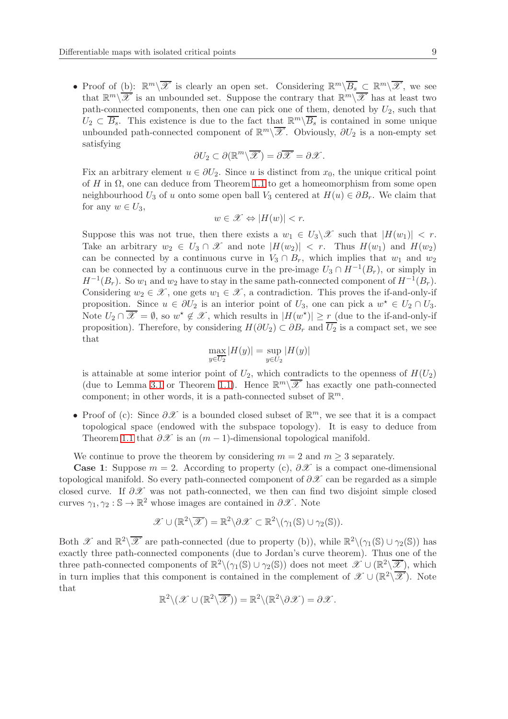• Proof of (b):  $\mathbb{R}^m\setminus\overline{\mathscr{X}}$  is clearly an open set. Considering  $\mathbb{R}^m\setminus\overline{B_s}\subset\mathbb{R}^m\setminus\overline{\mathscr{X}}$ , we see that  $\mathbb{R}^m\backslash\overline{\mathscr{X}}$  is an unbounded set. Suppose the contrary that  $\mathbb{R}^m\backslash\overline{\mathscr{X}}$  has at least two path-connected components, then one can pick one of them, denoted by  $U_2$ , such that  $U_2 \subset \overline{B_s}$ . This existence is due to the fact that  $\mathbb{R}^m \setminus \overline{B_s}$  is contained in some unique unbounded path-connected component of  $\mathbb{R}^m\setminus\overline{\mathscr{X}}$ . Obviously,  $\partial U_2$  is a non-empty set satisfying

$$
\partial U_2 \subset \partial (\mathbb{R}^m \backslash \overline{\mathscr{X}}) = \partial \overline{\mathscr{X}} = \partial \mathscr{X}.
$$

Fix an arbitrary element  $u \in \partial U_2$ . Since u is distinct from  $x_0$ , the unique critical point of H in  $\Omega$ , one can deduce from Theorem [1.1](#page-1-3) to get a homeomorphism from some open neighbourhood  $U_3$  of u onto some open ball  $V_3$  centered at  $H(u) \in \partial B_r$ . We claim that for any  $w \in U_3$ ,

$$
w \in \mathscr{X} \Leftrightarrow |H(w)| < r.
$$

Suppose this was not true, then there exists a  $w_1 \in U_3 \backslash \mathcal{X}$  such that  $|H(w_1)| < r$ . Take an arbitrary  $w_2 \in U_3 \cap \mathcal{X}$  and note  $|H(w_2)| < r$ . Thus  $H(w_1)$  and  $H(w_2)$ can be connected by a continuous curve in  $V_3 \cap B_r$ , which implies that  $w_1$  and  $w_2$ can be connected by a continuous curve in the pre-image  $U_3 \cap H^{-1}(B_r)$ , or simply in  $H^{-1}(B_r)$ . So  $w_1$  and  $w_2$  have to stay in the same path-connected component of  $H^{-1}(B_r)$ . Considering  $w_2 \in \mathcal{X}$ , one gets  $w_1 \in \mathcal{X}$ , a contradiction. This proves the if-and-only-if proposition. Since  $u \in \partial U_2$  is an interior point of  $U_3$ , one can pick a  $w^* \in U_2 \cap U_3$ . Note  $U_2 \cap \overline{\mathscr{X}} = \emptyset$ , so  $w^* \notin \mathscr{X}$ , which results in  $|H(w^*)| \ge r$  (due to the if-and-only-if proposition). Therefore, by considering  $H(\partial U_2) \subset \partial B_r$  and  $\overline{U_2}$  is a compact set, we see that

$$
\max_{y \in \overline{U_2}} |H(y)| = \sup_{y \in U_2} |H(y)|
$$

is attainable at some interior point of  $U_2$ , which contradicts to the openness of  $H(U_2)$ (due to Lemma [3.1](#page-6-1) or Theorem [1.1\)](#page-1-3). Hence  $\mathbb{R}^m\setminus\overline{\mathscr{X}}$  has exactly one path-connected component; in other words, it is a path-connected subset of  $\mathbb{R}^m$ .

• Proof of (c): Since  $\partial \mathcal{X}$  is a bounded closed subset of  $\mathbb{R}^m$ , we see that it is a compact topological space (endowed with the subspace topology). It is easy to deduce from Theorem [1.1](#page-1-3) that  $\partial \mathscr{X}$  is an  $(m-1)$ -dimensional topological manifold.

We continue to prove the theorem by considering  $m = 2$  and  $m \geq 3$  separately.

**Case 1:** Suppose  $m = 2$ . According to property (c),  $\partial \mathcal{X}$  is a compact one-dimensional topological manifold. So every path-connected component of  $\partial X$  can be regarded as a simple closed curve. If  $\partial\mathcal{X}$  was not path-connected, we then can find two disjoint simple closed curves  $\gamma_1, \gamma_2 : \mathbb{S} \to \mathbb{R}^2$  whose images are contained in  $\partial \mathcal{X}$ . Note

$$
\mathscr{X} \cup (\mathbb{R}^2 \backslash \overline{\mathscr{X}}) = \mathbb{R}^2 \backslash \partial \mathscr{X} \subset \mathbb{R}^2 \backslash (\gamma_1(\mathbb{S}) \cup \gamma_2(\mathbb{S})).
$$

Both  $\mathscr{X}$  and  $\mathbb{R}^2\setminus\overline{\mathscr{X}}$  are path-connected (due to property (b)), while  $\mathbb{R}^2\setminus(\gamma_1(\mathbb{S})\cup\gamma_2(\mathbb{S}))$  has exactly three path-connected components (due to Jordan's curve theorem). Thus one of the three path-connected components of  $\mathbb{R}^2 \setminus (\gamma_1(\mathbb{S}) \cup \gamma_2(\mathbb{S}))$  does not meet  $\mathscr{X} \cup (\mathbb{R}^2 \setminus \overline{\mathscr{X}})$ , which in turn implies that this component is contained in the complement of  $\mathscr{X} \cup (\mathbb{R}^2 \setminus \overline{\mathscr{X}})$ . Note that

$$
\mathbb{R}^2 \setminus (\mathscr{X} \cup (\mathbb{R}^2 \setminus \overline{\mathscr{X}})) = \mathbb{R}^2 \setminus (\mathbb{R}^2 \setminus \partial \mathscr{X}) = \partial \mathscr{X}.
$$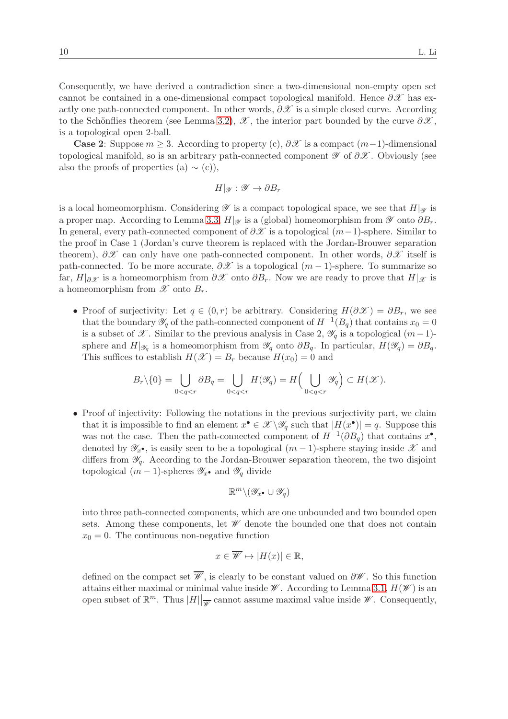Consequently, we have derived a contradiction since a two-dimensional non-empty open set cannot be contained in a one-dimensional compact topological manifold. Hence  $\partial \mathscr{X}$  has exactly one path-connected component. In other words,  $\partial \mathscr{X}$  is a simple closed curve. According to the Schönflies theorem (see Lemma [3.2\)](#page-6-2),  $\mathscr X$ , the interior part bounded by the curve  $\partial \mathscr X$ , is a topological open 2-ball.

**Case 2:** Suppose  $m \geq 3$ . According to property (c),  $\partial \mathcal{X}$  is a compact  $(m-1)$ -dimensional topological manifold, so is an arbitrary path-connected component  $\mathscr Y$  of  $\partial \mathscr X$ . Obviously (see also the proofs of properties (a)  $\sim$  (c)),

$$
H|_{\mathscr{Y}}:\mathscr{Y}\to\partial B_r
$$

is a local homeomorphism. Considering  $\mathscr Y$  is a compact topological space, we see that  $H|_{\mathscr Y}$  is a proper map. According to Lemma [3.3,](#page-7-0)  $H|_{\mathscr{Y}}$  is a (global) homeomorphism from  $\mathscr{Y}$  onto  $\partial B_r$ . In general, every path-connected component of  $\partial X$  is a topological  $(m-1)$ -sphere. Similar to the proof in Case 1 (Jordan's curve theorem is replaced with the Jordan-Brouwer separation theorem),  $\partial\mathscr{X}$  can only have one path-connected component. In other words,  $\partial\mathscr{X}$  itself is path-connected. To be more accurate,  $\partial\mathcal{X}$  is a topological  $(m-1)$ -sphere. To summarize so far,  $H|_{\partial X}$  is a homeomorphism from  $\partial X$  onto  $\partial B_r$ . Now we are ready to prove that  $H|_{\mathcal{X}}$  is a homeomorphism from  $\mathscr X$  onto  $B_r$ .

• Proof of surjectivity: Let  $q \in (0,r)$  be arbitrary. Considering  $H(\partial \mathscr{X}) = \partial B_r$ , we see that the boundary  $\mathscr{Y}_q$  of the path-connected component of  $H^{-1}(B_q)$  that contains  $x_0 = 0$ is a subset of  $\mathscr X$ . Similar to the previous analysis in Case 2,  $\mathscr Y_q$  is a topological  $(m-1)$ sphere and  $H|_{\mathscr{Y}_q}$  is a homeomorphism from  $\mathscr{Y}_q$  onto  $\partial B_q$ . In particular,  $H(\mathscr{Y}_q) = \partial B_q$ . This suffices to establish  $H(\mathscr{X}) = B_r$  because  $H(x_0) = 0$  and

$$
B_r\backslash\{0\}=\bigcup_{0
$$

• Proof of injectivity: Following the notations in the previous surjectivity part, we claim that it is impossible to find an element  $x^{\bullet} \in \mathscr{X} \backslash \mathscr{Y}_q$  such that  $|H(x^{\bullet})| = q$ . Suppose this was not the case. Then the path-connected component of  $H^{-1}(\partial B_q)$  that contains  $x^{\bullet}$ , denoted by  $\mathscr{Y}_{x^{\bullet}}$ , is easily seen to be a topological  $(m-1)$ -sphere staying inside X and differs from  $\mathscr{Y}_q$ . According to the Jordan-Brouwer separation theorem, the two disjoint topological  $(m-1)$ -spheres  $\mathscr{Y}_{x}$ • and  $\mathscr{Y}_{q}$  divide

$$
\mathbb{R}^m\backslash(\mathscr{Y}_{x^{\bullet}}\cup\mathscr{Y}_q)
$$

into three path-connected components, which are one unbounded and two bounded open sets. Among these components, let  $\mathscr W$  denote the bounded one that does not contain  $x_0 = 0$ . The continuous non-negative function

$$
x \in \overline{\mathscr{W}} \mapsto |H(x)| \in \mathbb{R},
$$

defined on the compact set  $\overline{\mathscr{W}}$ , is clearly to be constant valued on  $\partial \mathscr{W}$ . So this function attains either maximal or minimal value inside  $\mathscr W$ . According to Lemma [3.1,](#page-6-1)  $H(\mathscr W)$  is an open subset of  $\mathbb{R}^m$ . Thus  $|H||_{\overline{\mathscr{W}}}$  cannot assume maximal value inside  $\mathscr{W}$ . Consequently,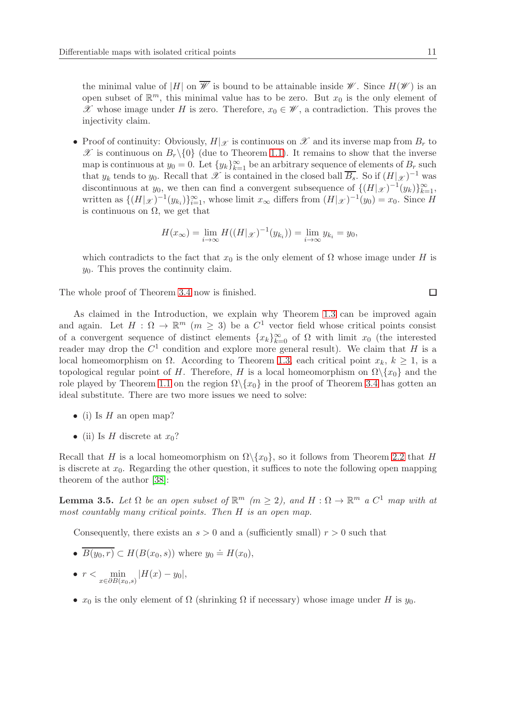the minimal value of |H| on  $\overline{\mathscr{W}}$  is bound to be attainable inside  $\mathscr{W}$ . Since  $H(\mathscr{W})$  is an open subset of  $\mathbb{R}^m$ , this minimal value has to be zero. But  $x_0$  is the only element of X whose image under H is zero. Therefore,  $x_0 \in \mathscr{W}$ , a contradiction. This proves the injectivity claim.

• Proof of continuity: Obviously,  $H|_{\mathscr{X}}$  is continuous on  $\mathscr{X}$  and its inverse map from  $B_r$  to  $\mathscr X$  is continuous on  $B_r\setminus\{0\}$  (due to Theorem [1.1\)](#page-1-3). It remains to show that the inverse map is continuous at  $y_0 = 0$ . Let  $\{y_k\}_{k=1}^{\infty}$  be an arbitrary sequence of elements of  $B_r$  such that  $y_k$  tends to  $y_0$ . Recall that  $\mathscr X$  is contained in the closed ball  $\overline{B_s}$ . So if  $(H|_{\mathscr X})^{-1}$  was discontinuous at y<sub>0</sub>, we then can find a convergent subsequence of  $\{(H|\mathscr{X})^{-1}(y_k)\}_{k=1}^{\infty}$ , written as  $\{(H|_{\mathscr{X}})^{-1}(y_{k_i})\}_{i=1}^{\infty}$ , whose limit  $x_{\infty}$  differs from  $(H|_{\mathscr{X}})^{-1}(y_0) = x_0$ . Since H is continuous on  $\Omega$ , we get that

$$
H(x_{\infty}) = \lim_{i \to \infty} H((H|_{\mathscr{X}})^{-1}(y_{k_i})) = \lim_{i \to \infty} y_{k_i} = y_0,
$$

which contradicts to the fact that  $x_0$  is the only element of  $\Omega$  whose image under H is  $y_0$ . This proves the continuity claim.

The whole proof of Theorem [3.4](#page-7-1) now is finished.

As claimed in the Introduction, we explain why Theorem [1.3](#page-1-1) can be improved again and again. Let  $H : \Omega \to \mathbb{R}^m$   $(m \geq 3)$  be a  $C^1$  vector field whose critical points consist of a convergent sequence of distinct elements  ${x_k}_{k=0}^{\infty}$  of  $\Omega$  with limit  $x_0$  (the interested reader may drop the  $C^1$  condition and explore more general result). We claim that H is a local homeomorphism on  $\Omega$ . According to Theorem [1.3,](#page-1-1) each critical point  $x_k$ ,  $k \geq 1$ , is a topological regular point of H. Therefore, H is a local homeomorphism on  $\Omega \backslash \{x_0\}$  and the role played by Theorem [1.1](#page-1-3) on the region  $\Omega \backslash \{x_0\}$  in the proof of Theorem [3.4](#page-7-1) has gotten an ideal substitute. There are two more issues we need to solve:

- (i) Is  $H$  an open map?
- (ii) Is H discrete at  $x_0$ ?

Recall that H is a local homeomorphism on  $\Omega \setminus \{x_0\}$ , so it follows from Theorem [2.2](#page-5-0) that H is discrete at  $x_0$ . Regarding the other question, it suffices to note the following open mapping theorem of the author [\[38\]](#page-22-8):

<span id="page-10-0"></span>**Lemma 3.5.** Let  $\Omega$  be an open subset of  $\mathbb{R}^m$  ( $m \geq 2$ ), and  $H : \Omega \to \mathbb{R}^m$  a  $C^1$  map with at most countably many critical points. Then H is an open map.

Consequently, there exists an  $s > 0$  and a (sufficiently small)  $r > 0$  such that

- $\overline{B(y_0,r)} \subset H(B(x_0,s))$  where  $y_0 \doteq H(x_0)$ ,
- $r < \min_{x \in \partial B(x_0, s)} |H(x) y_0|,$
- $x_0$  is the only element of  $\Omega$  (shrinking  $\Omega$  if necessary) whose image under H is  $y_0$ .

 $\Box$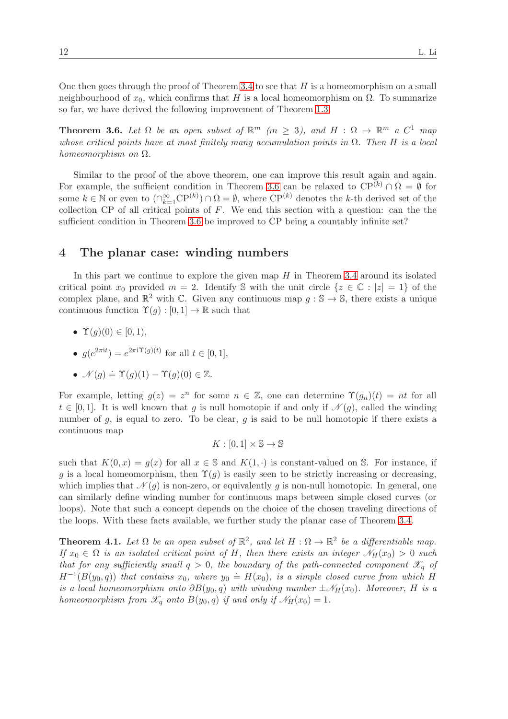One then goes through the proof of Theorem [3.4](#page-7-1) to see that  $H$  is a homeomorphism on a small neighbourhood of  $x_0$ , which confirms that H is a local homeomorphism on  $\Omega$ . To summarize so far, we have derived the following improvement of Theorem [1.3.](#page-1-1)

<span id="page-11-0"></span>**Theorem 3.6.** Let  $\Omega$  be an open subset of  $\mathbb{R}^m$  ( $m \geq 3$ ), and  $H : \Omega \to \mathbb{R}^m$  a  $C^1$  map whose critical points have at most finitely many accumulation points in  $\Omega$ . Then H is a local homeomorphism on Ω.

Similar to the proof of the above theorem, one can improve this result again and again. For example, the sufficient condition in Theorem [3.6](#page-11-0) can be relaxed to  $\mathbb{CP}^{(k)} \cap \Omega = \emptyset$  for some  $k \in \mathbb{N}$  or even to  $(\bigcap_{k=1}^{\infty} \mathrm{CP}^{(k)}) \cap \Omega = \emptyset$ , where  $\mathrm{CP}^{(k)}$  denotes the k-th derived set of the collection CP of all critical points of  $F$ . We end this section with a question: can the the sufficient condition in Theorem [3.6](#page-11-0) be improved to CP being a countably infinite set?

#### <span id="page-11-2"></span>4 The planar case: winding numbers

In this part we continue to explore the given map  $H$  in Theorem [3.4](#page-7-1) around its isolated critical point  $x_0$  provided  $m = 2$ . Identify S with the unit circle  $\{z \in \mathbb{C} : |z| = 1\}$  of the complex plane, and  $\mathbb{R}^2$  with C. Given any continuous map  $g : \mathbb{S} \to \mathbb{S}$ , there exists a unique continuous function  $\Upsilon(g):[0,1] \to \mathbb{R}$  such that

- $\Upsilon(q)(0) \in [0, 1),$
- $g(e^{2\pi i t}) = e^{2\pi i \Upsilon(g)(t)}$  for all  $t \in [0, 1],$

• 
$$
\mathcal{N}(g) \doteq \Upsilon(g)(1) - \Upsilon(g)(0) \in \mathbb{Z}
$$
.

For example, letting  $g(z) = z^n$  for some  $n \in \mathbb{Z}$ , one can determine  $\Upsilon(g_n)(t) = nt$  for all  $t \in [0,1]$ . It is well known that g is null homotopic if and only if  $\mathcal{N}(g)$ , called the winding number of  $q$ , is equal to zero. To be clear,  $q$  is said to be null homotopic if there exists a continuous map

$$
K:[0,1]\times\mathbb{S}\to\mathbb{S}
$$

such that  $K(0, x) = q(x)$  for all  $x \in \mathbb{S}$  and  $K(1, \cdot)$  is constant-valued on S. For instance, if g is a local homeomorphism, then  $\Upsilon(q)$  is easily seen to be strictly increasing or decreasing, which implies that  $\mathcal{N}(q)$  is non-zero, or equivalently q is non-null homotopic. In general, one can similarly define winding number for continuous maps between simple closed curves (or loops). Note that such a concept depends on the choice of the chosen traveling directions of the loops. With these facts available, we further study the planar case of Theorem [3.4.](#page-7-1)

<span id="page-11-1"></span>**Theorem 4.1.** Let  $\Omega$  be an open subset of  $\mathbb{R}^2$ , and let  $H : \Omega \to \mathbb{R}^2$  be a differentiable map. If  $x_0 \in \Omega$  is an isolated critical point of H, then there exists an integer  $\mathcal{N}_H(x_0) > 0$  such that for any sufficiently small  $q > 0$ , the boundary of the path-connected component  $\mathscr{X}_q$  of  $H^{-1}(B(y_0, q))$  that contains  $x_0$ , where  $y_0 \doteq H(x_0)$ , is a simple closed curve from which H is a local homeomorphism onto  $\partial B(y_0, q)$  with winding number  $\pm \mathcal{N}_H(x_0)$ . Moreover, H is a homeomorphism from  $\mathscr{X}_q$  onto  $B(y_0, q)$  if and only if  $\mathscr{N}_H(x_0) = 1$ .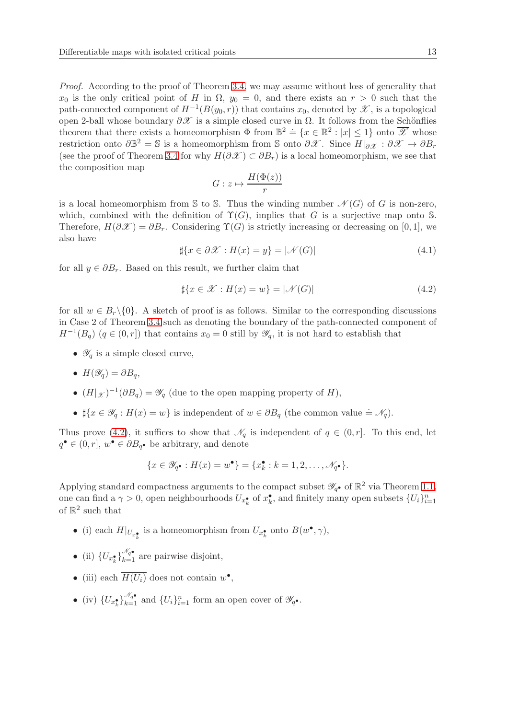Proof. According to the proof of Theorem [3.4,](#page-7-1) we may assume without loss of generality that  $x_0$  is the only critical point of H in  $\Omega$ ,  $y_0 = 0$ , and there exists an  $r > 0$  such that the path-connected component of  $H^{-1}(B(y_0, r))$  that contains  $x_0$ , denoted by  $\mathscr X$ , is a topological open 2-ball whose boundary  $\partial \mathscr{X}$  is a simple closed curve in  $\Omega$ . It follows from the Schönflies theorem that there exists a homeomorphism  $\Phi$  from  $\mathbb{B}^2 \doteq \{x \in \mathbb{R}^2 : |x| \leq 1\}$  onto  $\overline{\mathscr{X}}$  whose restriction onto  $\partial \mathbb{B}^2 = \mathbb{S}$  is a homeomorphism from  $\mathbb{S}$  onto  $\partial \mathscr{X}$ . Since  $H|_{\partial \mathscr{X}} : \partial \mathscr{X} \to \partial B_r$ (see the proof of Theorem [3.4](#page-7-1) for why  $H(\partial \mathcal{X}) \subset \partial B_r$ ) is a local homeomorphism, we see that the composition map

$$
G: z \mapsto \frac{H(\Phi(z))}{r}
$$

is a local homeomorphism from S to S. Thus the winding number  $\mathcal{N}(G)$  of G is non-zero, which, combined with the definition of  $\Upsilon(G)$ , implies that G is a surjective map onto S. Therefore,  $H(\partial \mathscr{X}) = \partial B_r$ . Considering  $\Upsilon(G)$  is strictly increasing or decreasing on [0, 1], we also have

$$
\sharp \{x \in \partial \mathcal{X} : H(x) = y\} = |\mathcal{N}(G)| \tag{4.1}
$$

for all  $y \in \partial B_r$ . Based on this result, we further claim that

<span id="page-12-0"></span>
$$
\sharp\{x \in \mathcal{X} : H(x) = w\} = |\mathcal{N}(G)| \tag{4.2}
$$

for all  $w \in B_r \backslash \{0\}$ . A sketch of proof is as follows. Similar to the corresponding discussions in Case 2 of Theorem [3.4](#page-7-1) such as denoting the boundary of the path-connected component of  $H^{-1}(B_q)$   $(q \in (0,r])$  that contains  $x_0 = 0$  still by  $\mathscr{Y}_q$ , it is not hard to establish that

- $\mathscr{Y}_q$  is a simple closed curve,
- $H(\mathscr{Y}_q) = \partial B_q$
- $(H|_{\mathscr{X}})^{-1}(\partial B_q) = \mathscr{Y}_q$  (due to the open mapping property of H),
- $\sharp \{x \in \mathscr{Y}_q : H(x) = w\}$  is independent of  $w \in \partial B_q$  (the common value  $\doteq \mathscr{N}_q$ ).

Thus prove [\(4.2\)](#page-12-0), it suffices to show that  $\mathcal{N}_q$  is independent of  $q \in (0, r]$ . To this end, let  $q^{\bullet} \in (0, r], w^{\bullet} \in \partial B_{q^{\bullet}}$  be arbitrary, and denote

$$
\{x\in\mathscr{Y}_{q^\bullet}:H(x)=w^\bullet\}=\{x_k^\bullet:k=1,2,\ldots,\mathscr{N}_{q^\bullet}\}.
$$

Applying standard compactness arguments to the compact subset  $\mathscr{Y}_{q}$  of  $\mathbb{R}^2$  via Theorem [1.1,](#page-1-3) one can find a  $\gamma > 0$ , open neighbourhoods  $U_{x_k^{\bullet}}$  of  $x_k^{\bullet}$ , and finitely many open subsets  $\{U_i\}_{i=1}^n$ of  $\mathbb{R}^2$  such that

- (i) each  $H|_{U_{x^{\bullet}_{k}}}$  is a homeomorphism from  $U_{x^{\bullet}_{k}}$  onto  $B(w^{\bullet}, \gamma)$ ,
- (ii)  $\{U_{x_k^{\bullet}}\}$  $\frac{\mathcal{N}_q}{k=1}$  are pairwise disjoint,
- (iii) each  $\overline{H(U_i)}$  does not contain  $w^{\bullet}$ ,
- (iv)  $\{U_{x_k^{\bullet}}\}$  $\mathcal{N}_{q^{\bullet}}$  and  $\{U_i\}_{i=1}^n$  form an open cover of  $\mathscr{Y}_{q^{\bullet}}$ .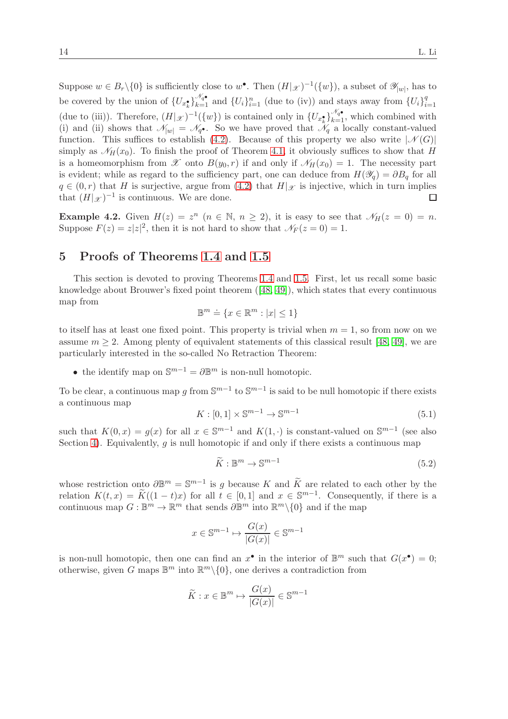Suppose  $w \in B_r \setminus \{0\}$  is sufficiently close to  $w^{\bullet}$ . Then  $(H|\mathscr{X})^{-1}(\{w\})$ , a subset of  $\mathscr{Y}_{|w|}$ , has to be covered by the union of  $\{U_{x_k^{\bullet}}\}$  $\frac{\mathcal{N}_q}{k=1}$  and  $\{U_i\}_{i=1}^n$  (due to (iv)) and stays away from  $\{U_i\}_{i=1}^q$  $i=1$ (due to (iii)). Therefore,  $(H|\mathscr{X})^{-1}(\{w\})$  is contained only in  $\{U_{x_k^{\bullet}}\}$  $\mathcal{N}_{q\bullet}_{k=1}$ , which combined with (i) and (ii) shows that  $\mathcal{N}_{|w|} = \mathcal{N}_{q}$ . So we have proved that  $\mathcal{N}_{q}$  a locally constant-valued function. This suffices to establish [\(4.2\)](#page-12-0). Because of this property we also write  $|\mathcal{N}(G)|$ simply as  $\mathcal{N}_H(x_0)$ . To finish the proof of Theorem [4.1,](#page-11-1) it obviously suffices to show that H is a homeomorphism from  $\mathscr X$  onto  $B(y_0, r)$  if and only if  $\mathscr N_H(x_0) = 1$ . The necessity part is evident; while as regard to the sufficiency part, one can deduce from  $H(\mathscr{Y}_q) = \partial B_q$  for all  $q \in (0, r)$  that H is surjective, argue from [\(4.2\)](#page-12-0) that  $H|\mathscr{X}$  is injective, which in turn implies that  $(H|\mathscr{X})^{-1}$  is continuous. We are done. that  $(H|\mathscr{X})^{-1}$  is continuous. We are done.

**Example 4.2.** Given  $H(z) = z^n$   $(n \in \mathbb{N}, n \ge 2)$ , it is easy to see that  $\mathcal{N}_H(z = 0) = n$ . Suppose  $F(z) = z|z|^2$ , then it is not hard to show that  $\mathcal{N}_F(z=0) = 1$ .

### 5 Proofs of Theorems [1.4](#page-1-2) and [1.5](#page-2-0)

This section is devoted to proving Theorems [1.4](#page-1-2) and [1.5.](#page-2-0) First, let us recall some basic knowledge about Brouwer's fixed point theorem  $([48, 49])$  $([48, 49])$  $([48, 49])$  $([48, 49])$ , which states that every continuous map from

$$
\mathbb{B}^m \doteq \{x \in \mathbb{R}^m: |x| \le 1\}
$$

to itself has at least one fixed point. This property is trivial when  $m = 1$ , so from now on we assume  $m \geq 2$ . Among plenty of equivalent statements of this classical result [\[48,](#page-23-11) [49\]](#page-23-12), we are particularly interested in the so-called No Retraction Theorem:

• the identify map on  $\mathbb{S}^{m-1} = \partial \mathbb{B}^m$  is non-null homotopic.

To be clear, a continuous map g from  $\mathbb{S}^{m-1}$  to  $\mathbb{S}^{m-1}$  is said to be null homotopic if there exists a continuous map

<span id="page-13-0"></span>
$$
K: [0,1] \times \mathbb{S}^{m-1} \to \mathbb{S}^{m-1}
$$
\n
$$
(5.1)
$$

such that  $K(0, x) = g(x)$  for all  $x \in \mathbb{S}^{m-1}$  and  $K(1, \cdot)$  is constant-valued on  $\mathbb{S}^{m-1}$  (see also Section [4\)](#page-11-2). Equivalently,  $g$  is null homotopic if and only if there exists a continuous map

$$
\widetilde{K}: \mathbb{B}^m \to \mathbb{S}^{m-1} \tag{5.2}
$$

whose restriction onto  $\partial \mathbb{B}^m = \mathbb{S}^{m-1}$  is g because K and  $\widetilde{K}$  are related to each other by the relation  $K(t, x) = \widetilde{K}((1-t)x)$  for all  $t \in [0,1]$  and  $x \in \mathbb{S}^{m-1}$ . Consequently, if there is a continuous map  $G: \mathbb{B}^m \to \mathbb{R}^m$  that sends  $\partial \mathbb{B}^m$  into  $\mathbb{R}^m \setminus \{0\}$  and if the map

$$
x \in \mathbb{S}^{m-1} \mapsto \frac{G(x)}{|G(x)|} \in \mathbb{S}^{m-1}
$$

is non-null homotopic, then one can find an  $x^{\bullet}$  in the interior of  $\mathbb{B}^m$  such that  $G(x^{\bullet}) = 0$ ; otherwise, given G maps  $\mathbb{B}^m$  into  $\mathbb{R}^m\setminus\{0\}$ , one derives a contradiction from

$$
\widetilde{K}: x \in \mathbb{B}^m \mapsto \frac{G(x)}{|G(x)|} \in \mathbb{S}^{m-1}
$$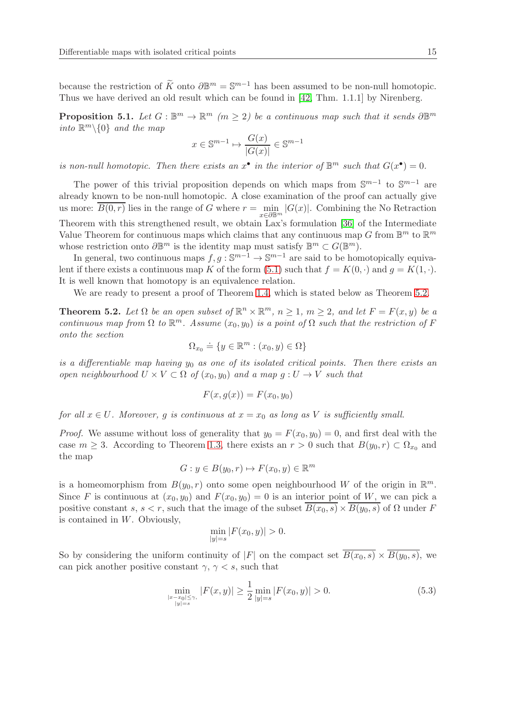because the restriction of  $\widetilde{K}$  onto  $\partial \mathbb{B}^m = \mathbb{S}^{m-1}$  has been assumed to be non-null homotopic. Thus we have derived an old result which can be found in [\[42,](#page-22-13) Thm. 1.1.1] by Nirenberg.

<span id="page-14-1"></span>**Proposition 5.1.** Let  $G : \mathbb{B}^m \to \mathbb{R}^m$  ( $m \geq 2$ ) be a continuous map such that it sends  $\partial \mathbb{B}^m$ into  $\mathbb{R}^m\backslash\{0\}$  and the map

$$
x \in \mathbb{S}^{m-1} \mapsto \frac{G(x)}{|G(x)|} \in \mathbb{S}^{m-1}
$$

is non-null homotopic. Then there exists an  $x^{\bullet}$  in the interior of  $\mathbb{B}^m$  such that  $G(x^{\bullet}) = 0$ .

The power of this trivial proposition depends on which maps from  $\mathbb{S}^{m-1}$  to  $\mathbb{S}^{m-1}$  are already known to be non-null homotopic. A close examination of the proof can actually give us more:  $B(0,r)$  lies in the range of G where  $r = \min_{x \in \partial \mathbb{B}^m} |G(x)|$ . Combining the No Retraction Theorem with this strengthened result, we obtain Lax's formulation [\[36\]](#page-22-14) of the Intermediate Value Theorem for continuous maps which claims that any continuous map G from  $\mathbb{B}^m$  to  $\mathbb{R}^m$ whose restriction onto  $\partial \mathbb{B}^m$  is the identity map must satisfy  $\mathbb{B}^m \subset G(\mathbb{B}^m)$ .

In general, two continuous maps  $f, g : \mathbb{S}^{m-1} \to \mathbb{S}^{m-1}$  are said to be homotopically equiva-lent if there exists a continuous map K of the form [\(5.1\)](#page-13-0) such that  $f = K(0, \cdot)$  and  $g = K(1, \cdot)$ . It is well known that homotopy is an equivalence relation.

We are ready to present a proof of Theorem [1.4,](#page-1-2) which is stated below as Theorem [5.2.](#page-14-0)

<span id="page-14-0"></span>**Theorem 5.2.** Let  $\Omega$  be an open subset of  $\mathbb{R}^n \times \mathbb{R}^m$ ,  $n \geq 1$ ,  $m \geq 2$ , and let  $F = F(x, y)$  be a continuous map from  $\Omega$  to  $\mathbb{R}^m$ . Assume  $(x_0, y_0)$  is a point of  $\Omega$  such that the restriction of F onto the section

$$
\Omega_{x_0} \doteq \{ y \in \mathbb{R}^m : (x_0, y) \in \Omega \}
$$

is a differentiable map having  $y_0$  as one of its isolated critical points. Then there exists an open neighbourhood  $U \times V \subset \Omega$  of  $(x_0, y_0)$  and a map  $g: U \to V$  such that

$$
F(x, g(x)) = F(x_0, y_0)
$$

for all  $x \in U$ . Moreover, g is continuous at  $x = x_0$  as long as V is sufficiently small.

*Proof.* We assume without loss of generality that  $y_0 = F(x_0, y_0) = 0$ , and first deal with the case  $m \geq 3$ . According to Theorem [1.3,](#page-1-1) there exists an  $r > 0$  such that  $B(y_0, r) \subset \Omega_{x_0}$  and the map

$$
G: y \in B(y_0, r) \mapsto F(x_0, y) \in \mathbb{R}^m
$$

is a homeomorphism from  $B(y_0, r)$  onto some open neighbourhood W of the origin in  $\mathbb{R}^m$ . Since F is continuous at  $(x_0, y_0)$  and  $F(x_0, y_0) = 0$  is an interior point of W, we can pick a positive constant s, s < r, such that the image of the subset  $\overline{B(x_0, s)} \times \overline{B(y_0, s)}$  of  $\Omega$  under F is contained in W. Obviously,

$$
\min_{|y|=s} |F(x_0, y)| > 0.
$$

So by considering the uniform continuity of |F| on the compact set  $\overline{B(x_0, s)} \times \overline{B(y_0, s)}$ , we can pick another positive constant  $\gamma$ ,  $\gamma$  < s, such that

$$
\min_{\substack{|x-x_0|\leq \gamma,\\|y|=s}} |F(x,y)| \geq \frac{1}{2} \min_{|y|=s} |F(x_0,y)| > 0.
$$
\n(5.3)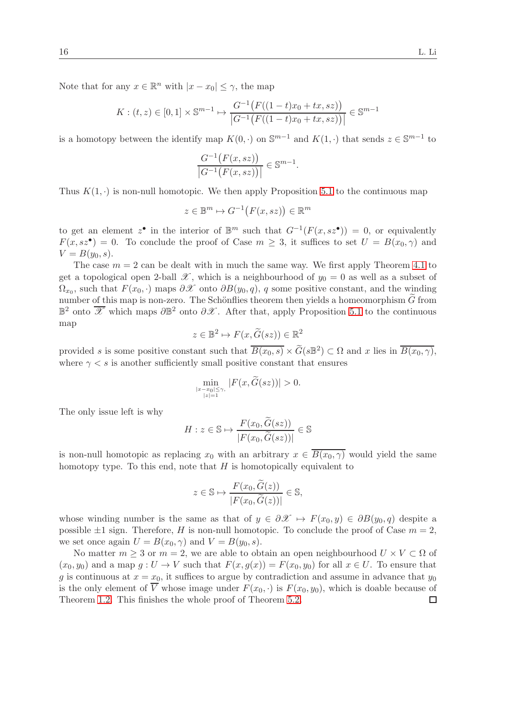Note that for any  $x \in \mathbb{R}^n$  with  $|x - x_0| \leq \gamma$ , the map

$$
K: (t, z) \in [0, 1] \times \mathbb{S}^{m-1} \mapsto \frac{G^{-1}(F((1-t)x_0 + tx, sz))}{|G^{-1}(F((1-t)x_0 + tx, sz))|} \in \mathbb{S}^{m-1}
$$

is a homotopy between the identify map  $K(0, \cdot)$  on  $\mathbb{S}^{m-1}$  and  $K(1, \cdot)$  that sends  $z \in \mathbb{S}^{m-1}$  to

$$
\frac{G^{-1}(F(x,sz))}{|G^{-1}(F(x,sz))|} \in \mathbb{S}^{m-1}
$$

.

Thus  $K(1, \cdot)$  is non-null homotopic. We then apply Proposition [5.1](#page-14-1) to the continuous map

$$
z \in \mathbb{B}^m \mapsto G^{-1}\big(F(x,sz)\big) \in \mathbb{R}^m
$$

to get an element  $z^{\bullet}$  in the interior of  $\mathbb{B}^m$  such that  $G^{-1}(F(x,sz^{\bullet})) = 0$ , or equivalently  $F(x, s z^{\bullet}) = 0$ . To conclude the proof of Case  $m \geq 3$ , it suffices to set  $U = B(x_0, \gamma)$  and  $V = B(y_0, s).$ 

The case  $m = 2$  can be dealt with in much the same way. We first apply Theorem [4.1](#page-11-1) to get a topological open 2-ball  $\mathscr X$ , which is a neighbourhood of  $y_0 = 0$  as well as a subset of  $\Omega_{x_0}$ , such that  $F(x_0, \cdot)$  maps  $\partial X$  onto  $\partial B(y_0, q)$ , q some positive constant, and the winding number of this map is non-zero. The Schönflies theorem then yields a homeomorphism  $\widetilde{G}$  from  $\mathbb{B}^2$  onto  $\overline{\mathscr{X}}$  which maps  $\partial \mathbb{B}^2$  onto  $\partial \mathscr{X}$ . After that, apply Proposition [5.1](#page-14-1) to the continuous map

$$
z \in \mathbb{B}^2 \mapsto F(x, \widetilde{G}(sz)) \in \mathbb{R}^2
$$

provided s is some positive constant such that  $\overline{B(x_0, s)} \times \widetilde{G}(\overline{s} \mathbb{B}^2) \subset \Omega$  and x lies in  $\overline{B(x_0, \gamma)}$ , where  $\gamma < s$  is another sufficiently small positive constant that ensures

$$
\min_{\substack{|x-x_0|\leq\gamma,\\|z|=1}}|F(x,\widetilde{G}(sz))|>0.
$$

The only issue left is why

$$
H: z \in \mathbb{S} \mapsto \frac{F(x_0, \tilde{G}(sz))}{|F(x_0, \tilde{G}(sz))|} \in \mathbb{S}
$$

is non-null homotopic as replacing  $x_0$  with an arbitrary  $x \in \overline{B(x_0, \gamma)}$  would yield the same homotopy type. To this end, note that  $H$  is homotopically equivalent to

$$
z \in \mathbb{S} \mapsto \frac{F(x_0, \tilde{G}(z))}{|F(x_0, \tilde{G}(z))|} \in \mathbb{S},
$$

whose winding number is the same as that of  $y \in \partial \mathcal{X} \mapsto F(x_0, y) \in \partial B(y_0, q)$  despite a possible  $\pm 1$  sign. Therefore, H is non-null homotopic. To conclude the proof of Case  $m = 2$ , we set once again  $U = B(x_0, \gamma)$  and  $V = B(y_0, s)$ .

No matter  $m \geq 3$  or  $m = 2$ , we are able to obtain an open neighbourhood  $U \times V \subset \Omega$  of  $(x_0, y_0)$  and a map  $q: U \to V$  such that  $F(x, q(x)) = F(x_0, y_0)$  for all  $x \in U$ . To ensure that g is continuous at  $x = x_0$ , it suffices to argue by contradiction and assume in advance that  $y_0$ is the only element of  $\overline{V}$  whose image under  $F(x_0, \cdot)$  is  $F(x_0, y_0)$ , which is doable because of Theorem 1.2. This finishes the whole proof of Theorem 5.2. Theorem [1.2.](#page-1-0) This finishes the whole proof of Theorem [5.2.](#page-14-0)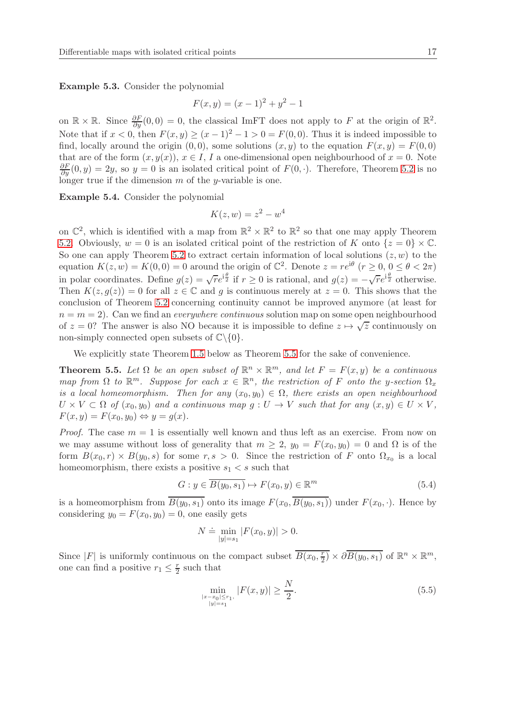Example 5.3. Consider the polynomial

$$
F(x, y) = (x - 1)^2 + y^2 - 1
$$

on  $\mathbb{R} \times \mathbb{R}$ . Since  $\frac{\partial F}{\partial y}(0,0) = 0$ , the classical ImFT does not apply to F at the origin of  $\mathbb{R}^2$ . Note that if  $x < 0$ , then  $F(x, y) \ge (x - 1)^2 - 1 > 0 = F(0, 0)$ . Thus it is indeed impossible to find, locally around the origin  $(0, 0)$ , some solutions  $(x, y)$  to the equation  $F(x, y) = F(0, 0)$ that are of the form  $(x, y(x))$ ,  $x \in I$ , I a one-dimensional open neighbourhood of  $x = 0$ . Note  $\frac{\partial F}{\partial y}(0, y) = 2y$ , so  $y = 0$  is an isolated critical point of  $F(0, \cdot)$ . Therefore, Theorem [5.2](#page-14-0) is no longer true if the dimension  $m$  of the y-variable is one.

Example 5.4. Consider the polynomial

$$
K(z, w) = z^2 - w^4
$$

on  $\mathbb{C}^2$ , which is identified with a map from  $\mathbb{R}^2 \times \mathbb{R}^2$  to  $\mathbb{R}^2$  so that one may apply Theorem [5.2.](#page-14-0) Obviously,  $w = 0$  is an isolated critical point of the restriction of K onto  $\{z = 0\} \times \mathbb{C}$ . So one can apply Theorem [5.2](#page-14-0) to extract certain information of local solutions  $(z, w)$  to the equation  $K(z, w) = K(0, 0) = 0$  around the origin of  $\mathbb{C}^2$ . Denote  $z = re^{i\theta}$   $(r \ge 0, 0 \le \theta < 2\pi)$ in polar coordinates. Define  $g(z) = \sqrt{r}e^{i\frac{\theta}{2}}$  if  $r \ge 0$  is rational, and  $g(z) = -\sqrt{r}e^{i\frac{\theta}{2}}$  otherwise. Then  $K(z, g(z)) = 0$  for all  $z \in \mathbb{C}$  and g is continuous merely at  $z = 0$ . This shows that the conclusion of Theorem [5.2](#page-14-0) concerning continuity cannot be improved anymore (at least for  $n = m = 2$ ). Can we find an *everywhere continuous* solution map on some open neighbourhood of  $z = 0$ ? The answer is also NO because it is impossible to define  $z \mapsto \sqrt{z}$  continuously on non-simply connected open subsets of  $\mathbb{C}\backslash\{0\}$ .

We explicitly state Theorem [1.5](#page-2-0) below as Theorem [5.5](#page-16-0) for the sake of convenience.

<span id="page-16-0"></span>**Theorem 5.5.** Let  $\Omega$  be an open subset of  $\mathbb{R}^n \times \mathbb{R}^m$ , and let  $F = F(x, y)$  be a continuous map from  $\Omega$  to  $\mathbb{R}^m$ . Suppose for each  $x \in \mathbb{R}^n$ , the restriction of F onto the y-section  $\Omega_x$ is a local homeomorphism. Then for any  $(x_0, y_0) \in \Omega$ , there exists an open neighbourhood  $U \times V \subset \Omega$  of  $(x_0, y_0)$  and a continuous map  $g: U \to V$  such that for any  $(x, y) \in U \times V$ ,  $F(x, y) = F(x_0, y_0) \Leftrightarrow y = g(x).$ 

*Proof.* The case  $m = 1$  is essentially well known and thus left as an exercise. From now on we may assume without loss of generality that  $m \geq 2$ ,  $y_0 = F(x_0, y_0) = 0$  and  $\Omega$  is of the form  $B(x_0,r) \times B(y_0,s)$  for some  $r,s > 0$ . Since the restriction of F onto  $\Omega_{x_0}$  is a local homeomorphism, there exists a positive  $s_1 < s$  such that

<span id="page-16-2"></span>
$$
G: y \in \overline{B(y_0, s_1)} \mapsto F(x_0, y) \in \mathbb{R}^m
$$
\n
$$
(5.4)
$$

is a homeomorphism from  $\overline{B(y_0, s_1)}$  onto its image  $F(x_0, \overline{B(y_0, s_1)})$  under  $F(x_0, \cdot)$ . Hence by considering  $y_0 = F(x_0, y_0) = 0$ , one easily gets

$$
N \doteq \min_{|y|=s_1} |F(x_0, y)| > 0.
$$

Since |F| is uniformly continuous on the compact subset  $\overline{B(x_0, \frac{r}{2})}$  $\overline{\frac{r}{2}}$  ×  $\partial \overline{B(y_0, s_1)}$  of  $\mathbb{R}^n \times \mathbb{R}^m$ , one can find a positive  $r_1 \leq \frac{r}{2}$  such that

<span id="page-16-1"></span>
$$
\min_{\substack{|x-x_0|\leq r_1,\\|y|=s_1}} |F(x,y)| \geq \frac{N}{2}.\tag{5.5}
$$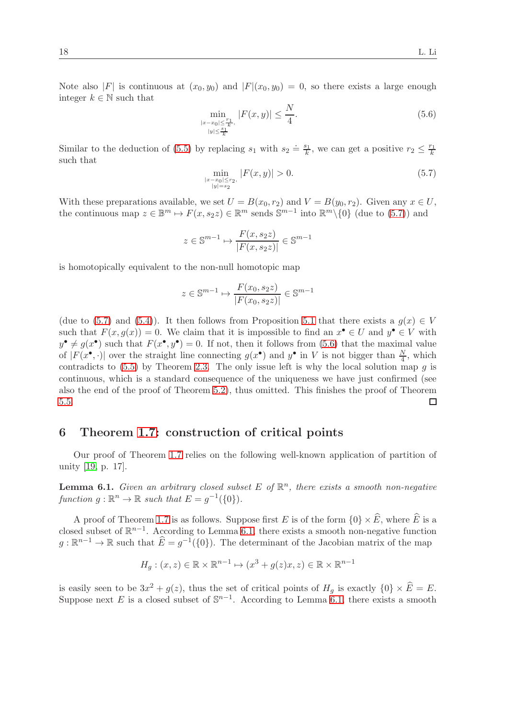Note also |F| is continuous at  $(x_0, y_0)$  and  $|F|(x_0, y_0) = 0$ , so there exists a large enough integer  $k \in \mathbb{N}$  such that

<span id="page-17-1"></span>
$$
\min_{\substack{|x-x_0|\leq \frac{r_1}{k},\\|y|\leq \frac{s_1}{k}}}|F(x,y)| \leq \frac{N}{4}.\tag{5.6}
$$

Similar to the deduction of [\(5.5\)](#page-16-1) by replacing  $s_1$  with  $s_2 \doteq \frac{s_1}{k}$  $\frac{s_1}{k}$ , we can get a positive  $r_2 \leq \frac{r_1}{k}$ k such that

<span id="page-17-0"></span>
$$
\min_{\substack{|x-x_0| \le r_2, \\ |y|=s_2}} |F(x,y)| > 0. \tag{5.7}
$$

With these preparations available, we set  $U = B(x_0, r_2)$  and  $V = B(y_0, r_2)$ . Given any  $x \in U$ , the continuous map  $z \in \mathbb{B}^m \mapsto F(x, s_2z) \in \mathbb{R}^m$  sends  $\mathbb{S}^{m-1}$  into  $\mathbb{R}^m \setminus \{0\}$  (due to [\(5.7\)](#page-17-0)) and

$$
z \in \mathbb{S}^{m-1} \mapsto \frac{F(x, s_2 z)}{|F(x, s_2 z)|} \in \mathbb{S}^{m-1}
$$

is homotopically equivalent to the non-null homotopic map

$$
z \in \mathbb{S}^{m-1} \mapsto \frac{F(x_0, s_2 z)}{|F(x_0, s_2 z)|} \in \mathbb{S}^{m-1}
$$

(due to [\(5.7\)](#page-17-0) and [\(5.4\)](#page-16-2)). It then follows from Proposition [5.1](#page-14-1) that there exists a  $g(x) \in V$ such that  $F(x, g(x)) = 0$ . We claim that it is impossible to find an  $x^{\bullet} \in U$  and  $y^{\bullet} \in V$  with  $y^{\bullet} \neq g(x^{\bullet})$  such that  $F(x^{\bullet}, y^{\bullet}) = 0$ . If not, then it follows from [\(5.6\)](#page-17-1) that the maximal value of  $|F(x^{\bullet},\cdot)|$  over the straight line connecting  $g(x^{\bullet})$  and  $y^{\bullet}$  in V is not bigger than  $\frac{N}{4}$ , which contradicts to  $(5.5)$  by Theorem [2.3.](#page-6-3) The only issue left is why the local solution map g is continuous, which is a standard consequence of the uniqueness we have just confirmed (see also the end of the proof of Theorem [5.2\)](#page-14-0), thus omitted. This finishes the proof of Theorem [5.5.](#page-16-0)  $\Box$ 

### 6 Theorem [1.7:](#page-2-3) construction of critical points

Our proof of Theorem [1.7](#page-2-3) relies on the following well-known application of partition of unity [\[19,](#page-21-9) p. 17].

<span id="page-17-2"></span>**Lemma 6.1.** Given an arbitrary closed subset E of  $\mathbb{R}^n$ , there exists a smooth non-negative function  $g : \mathbb{R}^n \to \mathbb{R}$  such that  $E = g^{-1}(\{0\}).$ 

A proof of Theorem [1.7](#page-2-3) is as follows. Suppose first E is of the form  $\{0\} \times \widehat{E}$ , where  $\widehat{E}$  is a closed subset of  $\mathbb{R}^{n-1}$ . According to Lemma [6.1,](#page-17-2) there exists a smooth non-negative function  $g: \mathbb{R}^{n-1} \to \mathbb{R}$  such that  $\widehat{E} = g^{-1}(\{0\})$ . The determinant of the Jacobian matrix of the map

$$
H_g: (x, z) \in \mathbb{R} \times \mathbb{R}^{n-1} \mapsto (x^3 + g(z)x, z) \in \mathbb{R} \times \mathbb{R}^{n-1}
$$

is easily seen to be  $3x^2 + g(z)$ , thus the set of critical points of  $H_g$  is exactly  $\{0\} \times \widehat{E} = E$ . Suppose next E is a closed subset of  $\mathbb{S}^{n-1}$ . According to Lemma [6.1,](#page-17-2) there exists a smooth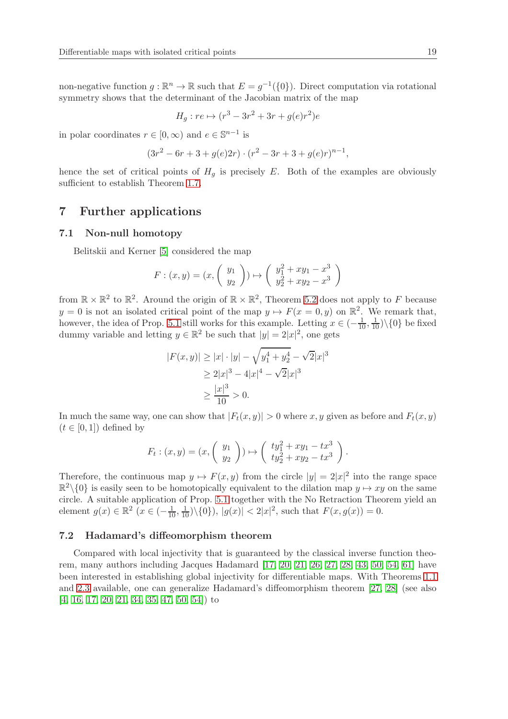non-negative function  $g : \mathbb{R}^n \to \mathbb{R}$  such that  $E = g^{-1}(\{0\})$ . Direct computation via rotational symmetry shows that the determinant of the Jacobian matrix of the map

$$
H_g: re \mapsto (r^3 - 3r^2 + 3r + g(e)r^2)e
$$

in polar coordinates  $r \in [0, \infty)$  and  $e \in \mathbb{S}^{n-1}$  is

$$
(3r^2 - 6r + 3 + g(e)2r) \cdot (r^2 - 3r + 3 + g(e)r)^{n-1},
$$

hence the set of critical points of  $H<sub>q</sub>$  is precisely E. Both of the examples are obviously sufficient to establish Theorem [1.7.](#page-2-3)

### 7 Further applications

#### 7.1 Non-null homotopy

Belitskii and Kerner [\[5\]](#page-20-7) considered the map

$$
F: (x, y) = (x, \begin{pmatrix} y_1 \\ y_2 \end{pmatrix}) \mapsto \begin{pmatrix} y_1^2 + xy_1 - x^3 \\ y_2^2 + xy_2 - x^3 \end{pmatrix}
$$

from  $\mathbb{R} \times \mathbb{R}^2$  to  $\mathbb{R}^2$ . Around the origin of  $\mathbb{R} \times \mathbb{R}^2$ , Theorem [5.2](#page-14-0) does not apply to F because  $y = 0$  is not an isolated critical point of the map  $y \mapsto F(x = 0, y)$  on  $\mathbb{R}^2$ . We remark that, however, the idea of Prop. [5.1](#page-14-1) still works for this example. Letting  $x \in \left(-\frac{1}{10}, \frac{1}{10}\right) \setminus \{0\}$  be fixed dummy variable and letting  $y \in \mathbb{R}^2$  be such that  $|y| = 2|x|^2$ , one gets

$$
|F(x,y)| \ge |x| \cdot |y| - \sqrt{y_1^4 + y_2^4} - \sqrt{2}|x|^3
$$
  
\n
$$
\ge 2|x|^3 - 4|x|^4 - \sqrt{2}|x|^3
$$
  
\n
$$
\ge \frac{|x|^3}{10} > 0.
$$

In much the same way, one can show that  $|F_t(x, y)| > 0$  where x, y given as before and  $F_t(x, y)$  $(t \in [0,1])$  defined by

$$
F_t : (x,y) = (x, \begin{pmatrix} y_1 \\ y_2 \end{pmatrix}) \mapsto \begin{pmatrix} ty_1^2 + xy_1 - tx^3 \\ ty_2^2 + xy_2 - tx^3 \end{pmatrix}.
$$

Therefore, the continuous map  $y \mapsto F(x, y)$  from the circle  $|y| = 2|x|^2$  into the range space  $\mathbb{R}^2 \setminus \{0\}$  is easily seen to be homotopically equivalent to the dilation map  $y \mapsto xy$  on the same circle. A suitable application of Prop. [5.1](#page-14-1) together with the No Retraction Theorem yield an element  $g(x) \in \mathbb{R}^2$   $(x \in (-\frac{1}{10}, \frac{1}{10}) \setminus \{0\})$ ,  $|g(x)| < 2|x|^2$ , such that  $F(x, g(x)) = 0$ .

#### 7.2 Hadamard's diffeomorphism theorem

Compared with local injectivity that is guaranteed by the classical inverse function theorem, many authors including Jacques Hadamard [\[17,](#page-21-13) [20,](#page-21-12) [21,](#page-21-14) [26,](#page-21-15) [27,](#page-21-16) [28,](#page-22-15) [43,](#page-22-16) [50,](#page-23-13) [54,](#page-23-14) [61\]](#page-23-15) have been interested in establishing global injectivity for differentiable maps. With Theorems [1.1](#page-1-3) and [2.3](#page-6-3) available, one can generalize Hadamard's diffeomorphism theorem [\[27,](#page-21-16) [28\]](#page-22-15) (see also [\[4,](#page-20-8) [16,](#page-21-17) [17,](#page-21-13) [20,](#page-21-12) [21,](#page-21-14) [34,](#page-22-17) [35,](#page-22-1) [47,](#page-23-16) [50,](#page-23-13) [54\]](#page-23-14)) to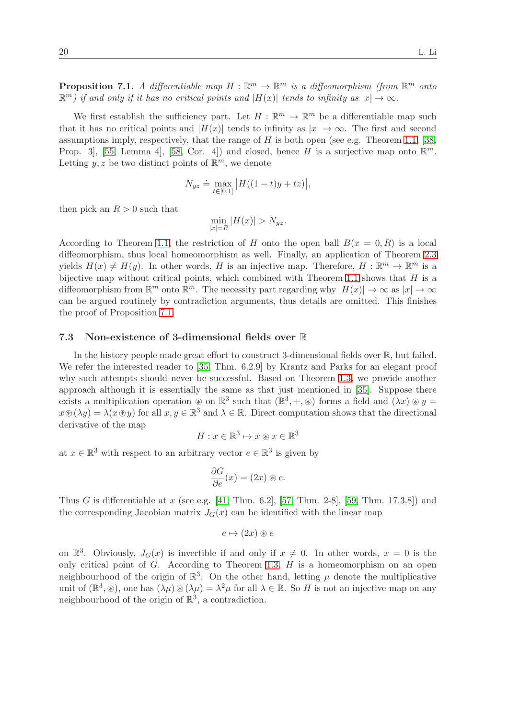<span id="page-19-0"></span>**Proposition 7.1.** A differentiable map  $H : \mathbb{R}^m \to \mathbb{R}^m$  is a diffeomorphism (from  $\mathbb{R}^m$  onto  $\mathbb{R}^m$ ) if and only if it has no critical points and  $|H(x)|$  tends to infinity as  $|x| \to \infty$ .

We first establish the sufficiency part. Let  $H : \mathbb{R}^m \to \mathbb{R}^m$  be a differentiable map such that it has no critical points and  $|H(x)|$  tends to infinity as  $|x| \to \infty$ . The first and second assumptions imply, respectively, that the range of  $H$  is both open (see e.g. Theorem [1.1,](#page-1-3) [\[38,](#page-22-8) Prop. 3, [\[55,](#page-23-9) Lemma 4, [\[58,](#page-23-10) Cor. 4]) and closed, hence H is a surjective map onto  $\mathbb{R}^m$ . Letting  $y, z$  be two distinct points of  $\mathbb{R}^m$ , we denote

$$
N_{yz} \doteq \max_{t \in [0,1]} |H((1-t)y + tz)|,
$$

then pick an  $R > 0$  such that

 $\min_{|x|=R} |H(x)| > N_{yz}.$ 

According to Theorem [1.1,](#page-1-3) the restriction of H onto the open ball  $B(x = 0, R)$  is a local diffeomorphism, thus local homeomorphism as well. Finally, an application of Theorem [2.3](#page-6-3) yields  $H(x) \neq H(y)$ . In other words, H is an injective map. Therefore,  $H : \mathbb{R}^m \to \mathbb{R}^m$  is a bijective map without critical points, which combined with Theorem [1.1](#page-1-3) shows that  $H$  is a diffeomorphism from  $\mathbb{R}^m$  onto  $\mathbb{R}^m$ . The necessity part regarding why  $|H(x)| \to \infty$  as  $|x| \to \infty$ can be argued routinely by contradiction arguments, thus details are omitted. This finishes the proof of Proposition [7.1.](#page-19-0)

#### 7.3 Non-existence of 3-dimensional fields over R

In the history people made great effort to construct 3-dimensional fields over R, but failed. We refer the interested reader to [\[35,](#page-22-1) Thm. 6.2.9] by Krantz and Parks for an elegant proof why such attempts should never be successful. Based on Theorem [1.3,](#page-1-1) we provide another approach although it is essentially the same as that just mentioned in [\[35\]](#page-22-1). Suppose there exists a multiplication operation  $\otimes$  on  $\mathbb{R}^3$  such that  $(\mathbb{R}^3, +, \otimes)$  forms a field and  $(\lambda x) \otimes y =$  $x \circledast (\lambda y) = \lambda (x \circledast y)$  for all  $x, y \in \mathbb{R}^3$  and  $\lambda \in \mathbb{R}$ . Direct computation shows that the directional derivative of the map

$$
H: x \in \mathbb{R}^3 \mapsto x \circledast x \in \mathbb{R}^3
$$

at  $x \in \mathbb{R}^3$  with respect to an arbitrary vector  $e \in \mathbb{R}^3$  is given by

$$
\frac{\partial G}{\partial e}(x) = (2x) \circledast e.
$$

Thus G is differentiable at x (see e.g. [\[41,](#page-22-5) Thm. 6.2], [\[57,](#page-23-4) Thm. 2-8], [\[59,](#page-23-5) Thm. 17.3.8]) and the corresponding Jacobian matrix  $J<sub>G</sub>(x)$  can be identified with the linear map

$$
e \mapsto (2x) \circledast e
$$

on  $\mathbb{R}^3$ . Obviously,  $J_G(x)$  is invertible if and only if  $x \neq 0$ . In other words,  $x = 0$  is the only critical point of  $G$ . According to Theorem [1.3,](#page-1-1)  $H$  is a homeomorphism on an open neighbourhood of the origin of  $\mathbb{R}^3$ . On the other hand, letting  $\mu$  denote the multiplicative unit of  $(\mathbb{R}^3, \mathcal{F})$ , one has  $(\lambda \mu) \mathcal{F}(\lambda \mu) = \lambda^2 \mu$  for all  $\lambda \in \mathbb{R}$ . So H is not an injective map on any neighbourhood of the origin of  $\mathbb{R}^3$ , a contradiction.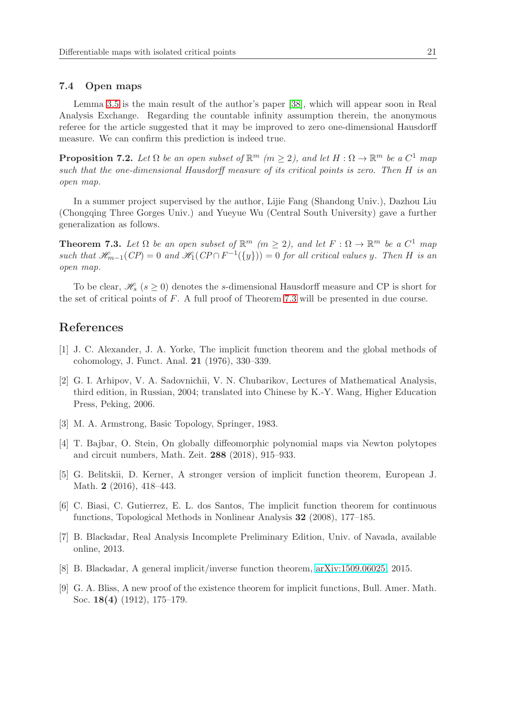#### 7.4 Open maps

Lemma [3.5](#page-10-0) is the main result of the author's paper [\[38\]](#page-22-8), which will appear soon in Real Analysis Exchange. Regarding the countable infinity assumption therein, the anonymous referee for the article suggested that it may be improved to zero one-dimensional Hausdorff measure. We can confirm this prediction is indeed true.

**Proposition 7.2.** Let  $\Omega$  be an open subset of  $\mathbb{R}^m$  ( $m \geq 2$ ), and let  $H : \Omega \to \mathbb{R}^m$  be a  $C^1$  map such that the one-dimensional Hausdorff measure of its critical points is zero. Then H is an open map.

In a summer project supervised by the author, Lijie Fang (Shandong Univ.), Dazhou Liu (Chongqing Three Gorges Univ.) and Yueyue Wu (Central South University) gave a further generalization as follows.

<span id="page-20-9"></span>**Theorem 7.3.** Let  $\Omega$  be an open subset of  $\mathbb{R}^m$  ( $m \geq 2$ ), and let  $F : \Omega \to \mathbb{R}^m$  be a  $C^1$  map such that  $\mathcal{H}_{m-1}(CP) = 0$  and  $\mathcal{H}_1(CP \cap F^{-1}(\{y\})) = 0$  for all critical values y. Then H is an open map.

To be clear,  $\mathcal{H}_s$  ( $s > 0$ ) denotes the s-dimensional Hausdorff measure and CP is short for the set of critical points of F. A full proof of Theorem [7.3](#page-20-9) will be presented in due course.

### <span id="page-20-5"></span>References

- [1] J. C. Alexander, J. A. Yorke, The implicit function theorem and the global methods of cohomology, J. Funct. Anal. 21 (1976), 330–339.
- <span id="page-20-0"></span>[2] G. I. Arhipov, V. A. Sadovnichii, V. N. Chubarikov, Lectures of Mathematical Analysis, third edition, in Russian, 2004; translated into Chinese by K.-Y. Wang, Higher Education Press, Peking, 2006.
- <span id="page-20-8"></span><span id="page-20-6"></span>[3] M. A. Armstrong, Basic Topology, Springer, 1983.
- [4] T. Bajbar, O. Stein, On globally diffeomorphic polynomial maps via Newton polytopes and circuit numbers, Math. Zeit. 288 (2018), 915–933.
- <span id="page-20-7"></span>[5] G. Belitskii, D. Kerner, A stronger version of implicit function theorem, European J. Math. **2** (2016), 418–443.
- <span id="page-20-4"></span>[6] C. Biasi, C. Gutierrez, E. L. dos Santos, The implicit function theorem for continuous functions, Topological Methods in Nonlinear Analysis 32 (2008), 177–185.
- <span id="page-20-2"></span>[7] B. Blackadar, Real Analysis Incomplete Preliminary Edition, Univ. of Navada, available online, 2013.
- <span id="page-20-3"></span><span id="page-20-1"></span>[8] B. Blackadar, A general implicit/inverse function theorem, [arXiv:1509.06025,](http://arxiv.org/abs/1509.06025) 2015.
- [9] G. A. Bliss, A new proof of the existence theorem for implicit functions, Bull. Amer. Math. Soc. 18(4) (1912), 175–179.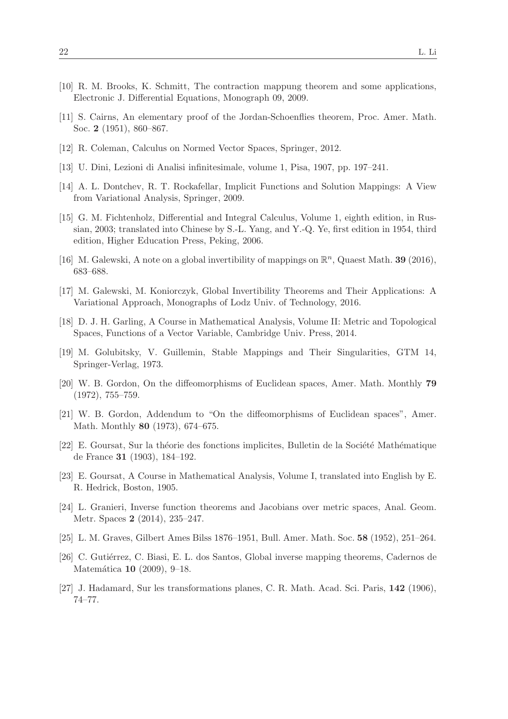- <span id="page-21-11"></span><span id="page-21-5"></span>[10] R. M. Brooks, K. Schmitt, The contraction mappung theorem and some applications, Electronic J. Differential Equations, Monograph 09, 2009.
- <span id="page-21-7"></span>[11] S. Cairns, An elementary proof of the Jordan-Schoenflies theorem, Proc. Amer. Math. Soc. 2 (1951), 860–867.
- <span id="page-21-0"></span>[12] R. Coleman, Calculus on Normed Vector Spaces, Springer, 2012.
- <span id="page-21-1"></span>[13] U. Dini, Lezioni di Analisi infinitesimale, volume 1, Pisa, 1907, pp. 197–241.
- <span id="page-21-2"></span>[14] A. L. Dontchev, R. T. Rockafellar, Implicit Functions and Solution Mappings: A View from Variational Analysis, Springer, 2009.
- [15] G. M. Fichtenholz, Differential and Integral Calculus, Volume 1, eighth edition, in Russian, 2003; translated into Chinese by S.-L. Yang, and Y.-Q. Ye, first edition in 1954, third edition, Higher Education Press, Peking, 2006.
- <span id="page-21-17"></span><span id="page-21-13"></span>[16] M. Galewski, A note on a global invertibility of mappings on  $\mathbb{R}^n$ , Quaest Math. **39** (2016), 683–688.
- <span id="page-21-8"></span>[17] M. Galewski, M. Koniorczyk, Global Invertibility Theorems and Their Applications: A Variational Approach, Monographs of Lodz Univ. of Technology, 2016.
- [18] D. J. H. Garling, A Course in Mathematical Analysis, Volume II: Metric and Topological Spaces, Functions of a Vector Variable, Cambridge Univ. Press, 2014.
- <span id="page-21-12"></span><span id="page-21-9"></span>[19] M. Golubitsky, V. Guillemin, Stable Mappings and Their Singularities, GTM 14, Springer-Verlag, 1973.
- <span id="page-21-14"></span>[20] W. B. Gordon, On the diffeomorphisms of Euclidean spaces, Amer. Math. Monthly 79 (1972), 755–759.
- [21] W. B. Gordon, Addendum to "On the diffeomorphisms of Euclidean spaces", Amer. Math. Monthly 80 (1973), 674–675.
- <span id="page-21-4"></span>[22] E. Goursat, Sur la théorie des fonctions implicites, Bulletin de la Société Mathématique de France 31 (1903), 184–192.
- <span id="page-21-3"></span>[23] E. Goursat, A Course in Mathematical Analysis, Volume I, translated into English by E. R. Hedrick, Boston, 1905.
- <span id="page-21-10"></span>[24] L. Granieri, Inverse function theorems and Jacobians over metric spaces, Anal. Geom. Metr. Spaces 2 (2014), 235–247.
- <span id="page-21-15"></span><span id="page-21-6"></span>[25] L. M. Graves, Gilbert Ames Bilss 1876–1951, Bull. Amer. Math. Soc. 58 (1952), 251–264.
- [26] C. Gutiérrez, C. Biasi, E. L. dos Santos, Global inverse mapping theorems, Cadernos de Matemática **10** (2009), 9–18.
- <span id="page-21-16"></span>[27] J. Hadamard, Sur les transformations planes, C. R. Math. Acad. Sci. Paris, 142 (1906), 74–77.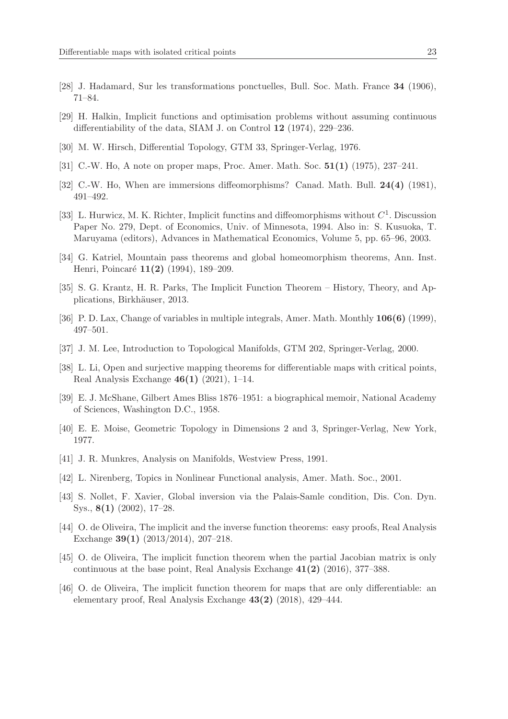- <span id="page-22-15"></span>[28] J. Hadamard, Sur les transformations ponctuelles, Bull. Soc. Math. France 34 (1906), 71–84.
- <span id="page-22-4"></span>[29] H. Halkin, Implicit functions and optimisation problems without assuming continuous differentiability of the data, SIAM J. on Control 12 (1974), 229–236.
- <span id="page-22-11"></span>[30] M. W. Hirsch, Differential Topology, GTM 33, Springer-Verlag, 1976.
- <span id="page-22-12"></span>[31] C.-W. Ho, A note on proper maps, Proc. Amer. Math. Soc. 51(1) (1975), 237–241.
- <span id="page-22-0"></span>[32] C.-W. Ho, When are immersions diffeomorphisms? Canad. Math. Bull. 24(4) (1981), 491–492.
- [33] L. Hurwicz, M. K. Richter, Implicit functins and diffeomorphisms without  $C^1$ . Discussion Paper No. 279, Dept. of Economics, Univ. of Minnesota, 1994. Also in: S. Kusuoka, T. Maruyama (editors), Advances in Mathematical Economics, Volume 5, pp. 65–96, 2003.
- <span id="page-22-17"></span>[34] G. Katriel, Mountain pass theorems and global homeomorphism theorems, Ann. Inst. Henri, Poincaré 11(2) (1994), 189–209.
- <span id="page-22-14"></span><span id="page-22-1"></span>[35] S. G. Krantz, H. R. Parks, The Implicit Function Theorem – History, Theory, and Applications, Birkhäuser, 2013.
- <span id="page-22-9"></span>[36] P. D. Lax, Change of variables in multiple integrals, Amer. Math. Monthly 106(6) (1999), 497–501.
- <span id="page-22-8"></span>[37] J. M. Lee, Introduction to Topological Manifolds, GTM 202, Springer-Verlag, 2000.
- [38] L. Li, Open and surjective mapping theorems for differentiable maps with critical points, Real Analysis Exchange 46(1) (2021), 1–14.
- <span id="page-22-10"></span><span id="page-22-3"></span>[39] E. J. McShane, Gilbert Ames Bliss 1876–1951: a biographical memoir, National Academy of Sciences, Washington D.C., 1958.
- <span id="page-22-5"></span>[40] E. E. Moise, Geometric Topology in Dimensions 2 and 3, Springer-Verlag, New York, 1977.
- <span id="page-22-13"></span>[41] J. R. Munkres, Analysis on Manifolds, Westview Press, 1991.
- <span id="page-22-16"></span>[42] L. Nirenberg, Topics in Nonlinear Functional analysis, Amer. Math. Soc., 2001.
- [43] S. Nollet, F. Xavier, Global inversion via the Palais-Samle condition, Dis. Con. Dyn. Sys., 8(1) (2002), 17–28.
- <span id="page-22-2"></span>[44] O. de Oliveira, The implicit and the inverse function theorems: easy proofs, Real Analysis Exchange 39(1) (2013/2014), 207–218.
- <span id="page-22-6"></span>[45] O. de Oliveira, The implicit function theorem when the partial Jacobian matrix is only continuous at the base point, Real Analysis Exchange  $41(2)$  (2016), 377–388.
- <span id="page-22-7"></span>[46] O. de Oliveira, The implicit function theorem for maps that are only differentiable: an elementary proof, Real Analysis Exchange 43(2) (2018), 429–444.